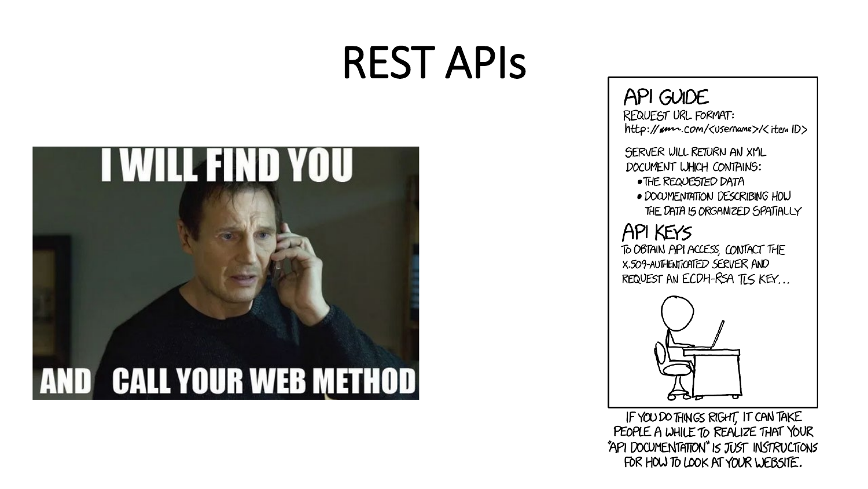# REST APIs



API GUIDE REQUEST URL FORMAT: http://umn.com/<username>/<itemID>

SERVER WILL RETURN AN XML DOCUMENT WHICH CONTAINS:

- THE REQUESTED DATA
- · DOCUMENTATION DESCRIBING HOW THE DATA IS ORGANIZED SPATIALLY

#### API KEYS

TO OBTAIN API ACCESS, CONTACT THE X.509-AUTHENTICATED SERVER AND REQUEST AN ECDH-RSA TLS KEY...



IF YOU DO THINGS RIGHT, IT CAN TAKE PEOPLE A WHILE TO REALIZE THAT YOUR "API DOCUMENTATION" IS JUST INSTRUCTIONS FOR HOW TO LOOK AT YOUR WEBSITE.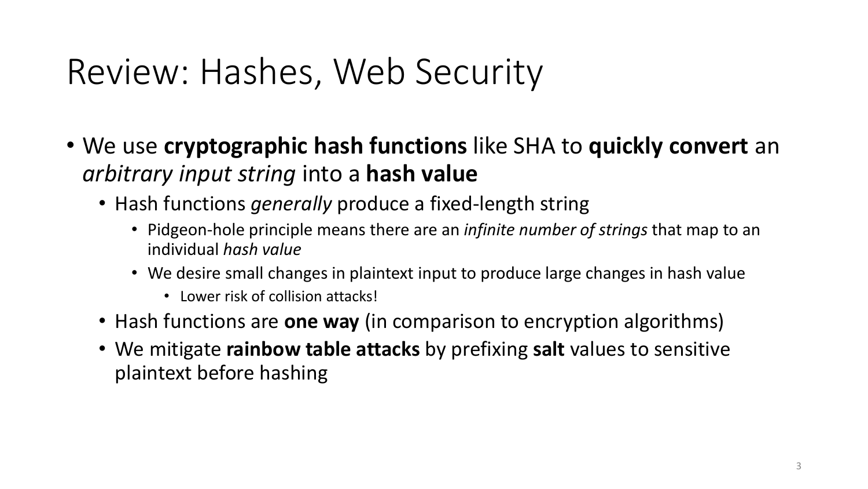# Review: Hashes, Web Security

- We use **cryptographic hash functions** like SHA to **quickly convert** an *arbitrary input string* into a **hash value**
	- Hash functions *generally* produce a fixed-length string
		- Pidgeon-hole principle means there are an *infinite number of strings* that map to an individual *hash value*
		- We desire small changes in plaintext input to produce large changes in hash value
			- Lower risk of collision attacks!
	- Hash functions are **one way** (in comparison to encryption algorithms)
	- We mitigate **rainbow table attacks** by prefixing **salt** values to sensitive plaintext before hashing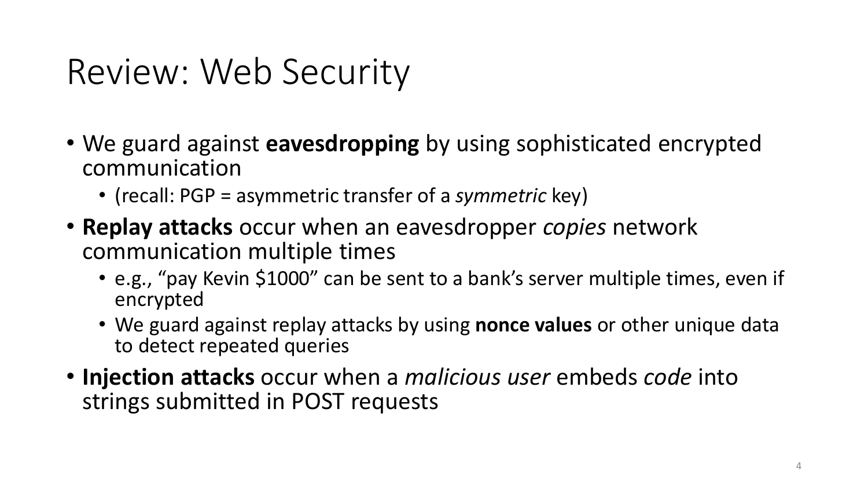# Review: Web Security

- We guard against **eavesdropping** by using sophisticated encrypted communication
	- (recall: PGP = asymmetric transfer of a *symmetric* key)
- **Replay attacks** occur when an eavesdropper *copies* network communication multiple times
	- e.g., "pay Kevin \$1000" can be sent to a bank's server multiple times, even if encrypted
	- We guard against replay attacks by using **nonce values** or other unique data to detect repeated queries
- **Injection attacks** occur when a *malicious user* embeds *code* into strings submitted in POST requests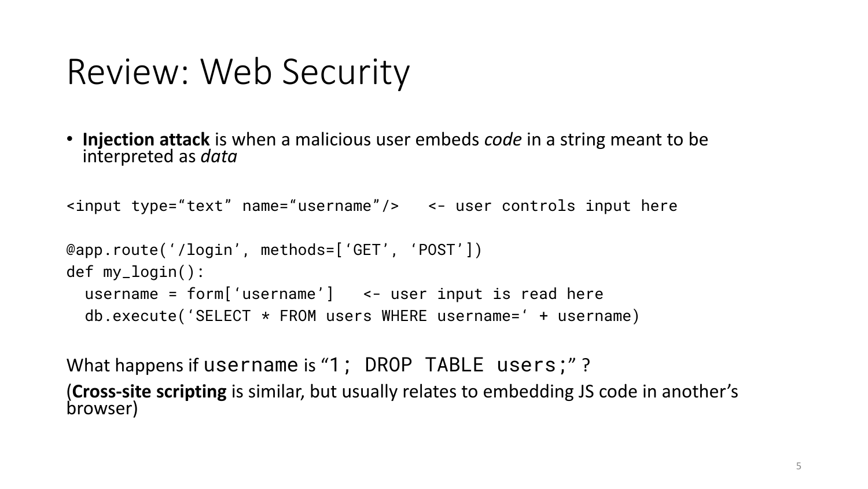#### Review: Web Security

• **Injection attack** is when a malicious user embeds *code* in a string meant to be interpreted as *data*

```
<input type="text" name="username"/> <- user controls input here
@app.route('/login', methods=['GET', 'POST'])
def my_login():
  username = form['username'] <- user input is read here
  db.execute('SELECT * FROM users WHERE username=' + username)
```
What happens if username is "1; DROP TABLE users;"?

(**Cross-site scripting** is similar, but usually relates to embedding JS code in another's browser)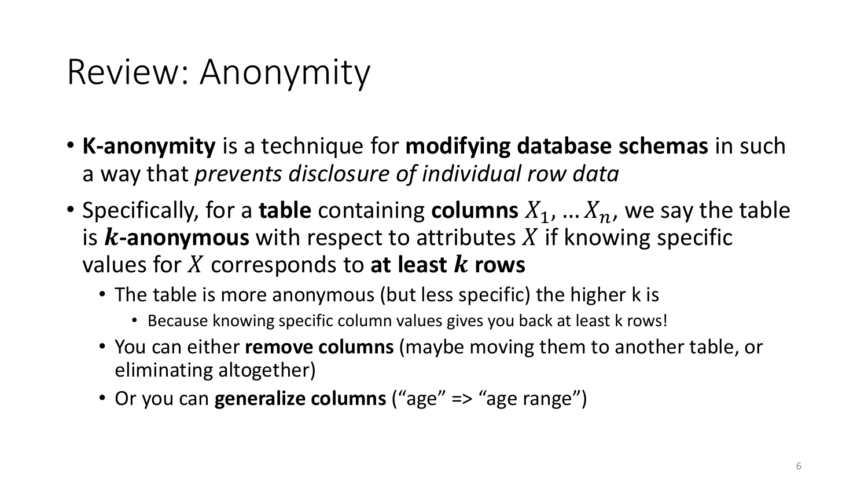# Review: Anonymity

- **K-anonymity** is a technique for **modifying database schemas** in such a way that *prevents disclosure of individual row data*
- Specifically, for a **table** containing **columns**  $X_1, \ldots, X_n$ , we say the table is  $k$ -anonymous with respect to attributes  $X$  if knowing specific values for  $X$  corresponds to at least  $k$  rows
	- The table is more anonymous (but less specific) the higher k is
		- Because knowing specific column values gives you back at least k rows!
	- You can either **remove columns** (maybe moving them to another table, or eliminating altogether)
	- Or you can **generalize columns** ("age" => "age range")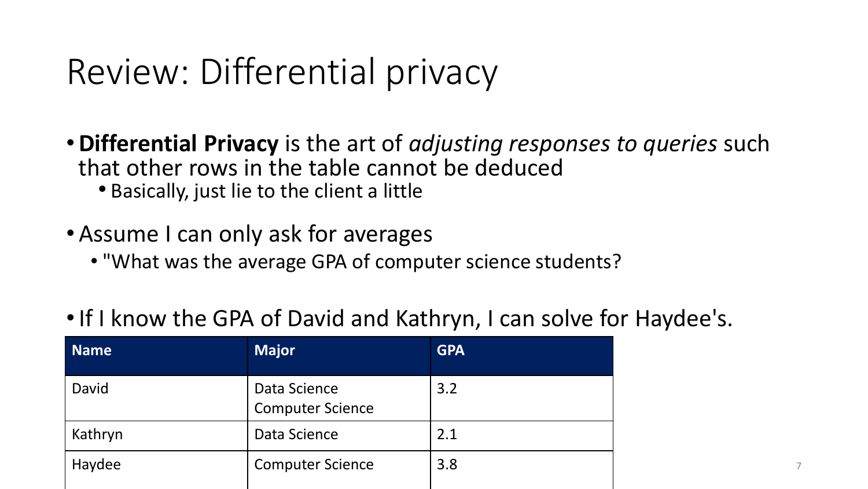### Review: Differential privacy

- •**Differential Privacy** is the art of *adjusting responses to queries* such that other rows in the table cannot be deduced • Basically, just lie to the client a little
- Assume I can only ask for averages
	- "What was the average GPA of computer science students?
- If I know the GPA of David and Kathryn, I can solve for Haydee's.

| <b>Name</b> | <b>Major</b>                            | <b>GPA</b> |
|-------------|-----------------------------------------|------------|
| David       | Data Science<br><b>Computer Science</b> | 3.2        |
| Kathryn     | Data Science                            | 2.1        |
| Haydee      | <b>Computer Science</b>                 | 3.8        |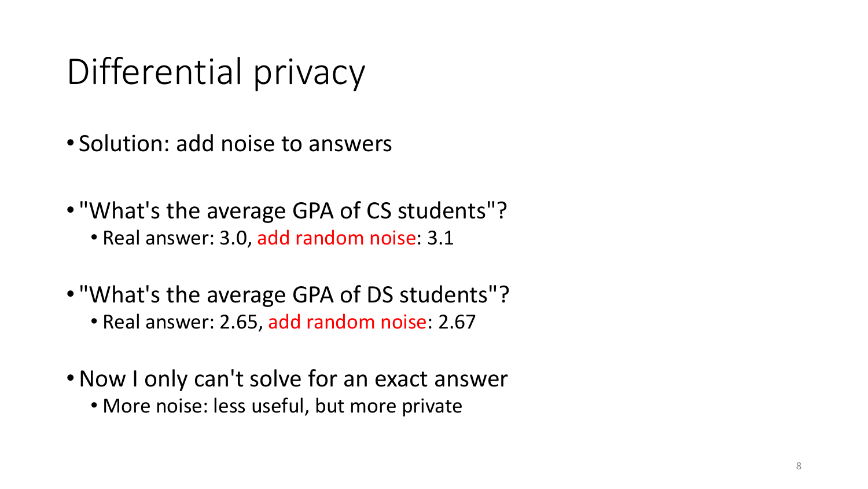# Differential privacy

- Solution: add noise to answers
- "What's the average GPA of CS students"?
	- Real answer: 3.0, add random noise: 3.1
- "What's the average GPA of DS students"?
	- Real answer: 2.65, add random noise: 2.67
- Now I only can't solve for an exact answer
	- More noise: less useful, but more private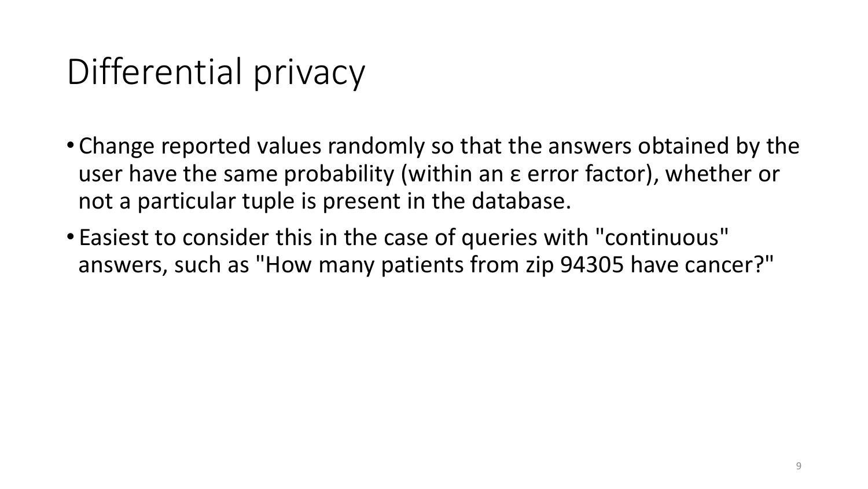# Differential privacy

- Change reported values randomly so that the answers obtained by the user have the same probability (within an ε error factor), whether or not a particular tuple is present in the database.
- Easiest to consider this in the case of queries with "continuous" answers, such as "How many patients from zip 94305 have cancer?"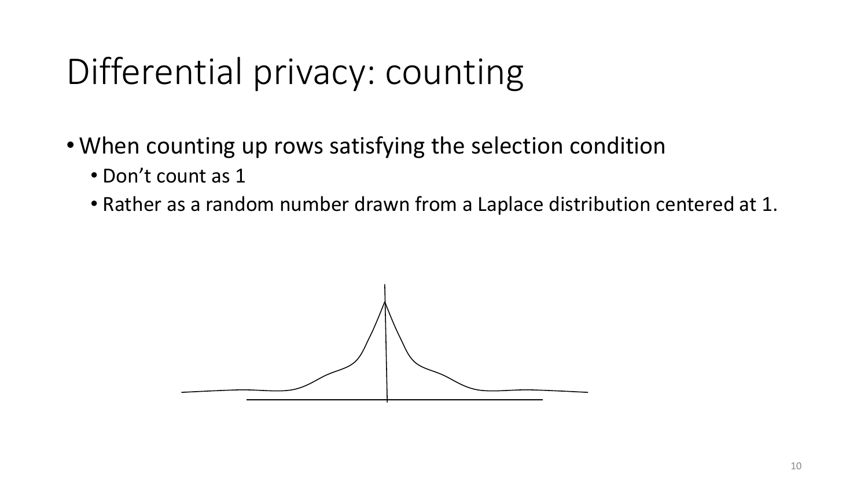# Differential privacy: counting

- When counting up rows satisfying the selection condition
	- Don't count as 1
	- Rather as a random number drawn from a Laplace distribution centered at 1.

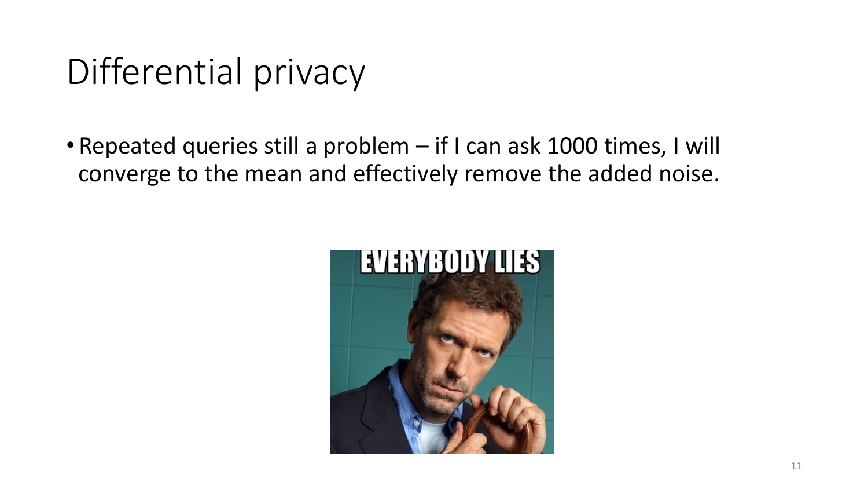# Differential privacy

• Repeated queries still a problem – if I can ask 1000 times, I will converge to the mean and effectively remove the added noise.

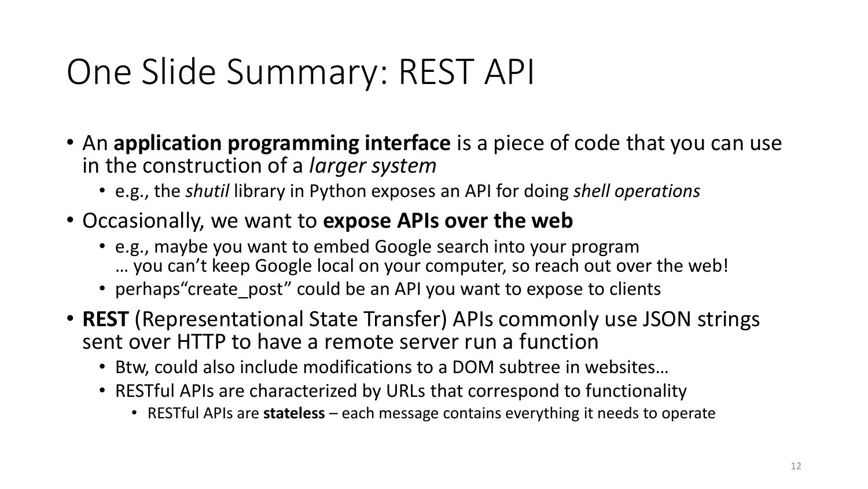# One Slide Summary: REST API

- An **application programming interface** is a piece of code that you can use in the construction of a *larger system*
	- e.g., the *shutil* library in Python exposes an API for doing *shell operations*
- Occasionally, we want to **expose APIs over the web**
	- e.g., maybe you want to embed Google search into your program … you can't keep Google local on your computer, so reach out over the web!
	- perhaps "create post" could be an API you want to expose to clients
- **REST** (Representational State Transfer) APIs commonly use JSON strings sent over HTTP to have a remote server run a function
	- Btw, could also include modifications to a DOM subtree in websites…
	- RESTful APIs are characterized by URLs that correspond to functionality
		- RESTful APIs are **stateless** each message contains everything it needs to operate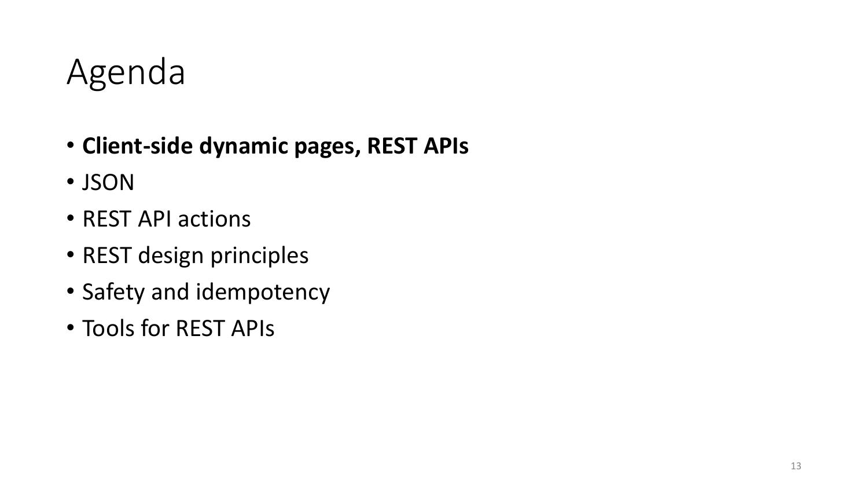#### Agenda

- **Client-side dynamic pages, REST APIs**
- JSON
- REST API actions
- REST design principles
- Safety and idempotency
- Tools for REST APIs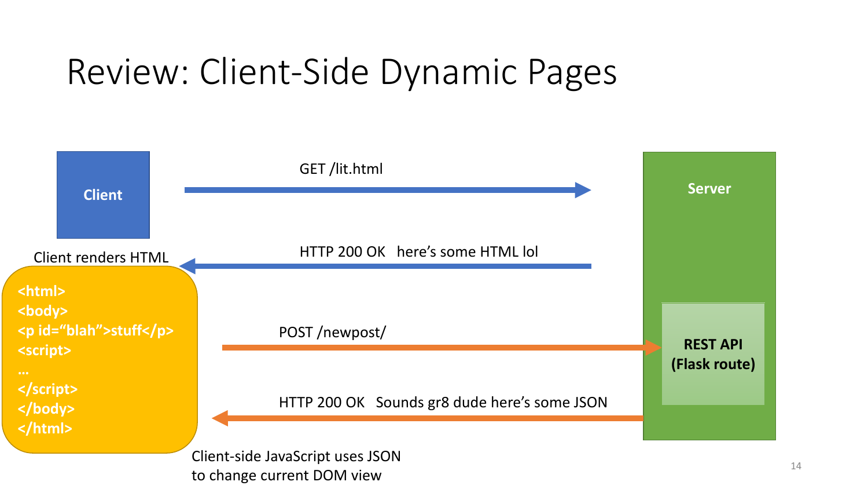# Review: Client-Side Dynamic Pages



Client-side JavaScript uses JSON to change current DOM view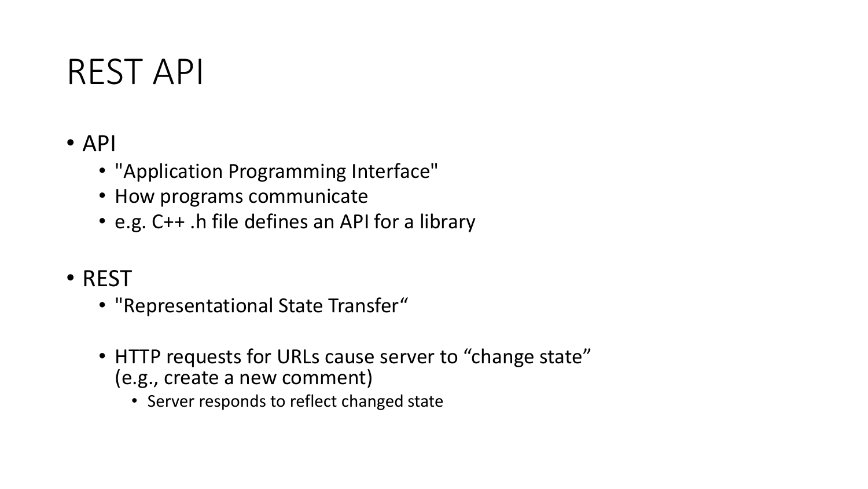#### REST API

#### • API

- "Application Programming Interface"
- How programs communicate
- e.g. C++ .h file defines an API for a library
- REST
	- "Representational State Transfer"
	- HTTP requests for URLs cause server to "change state" (e.g., create a new comment)
		- Server responds to reflect changed state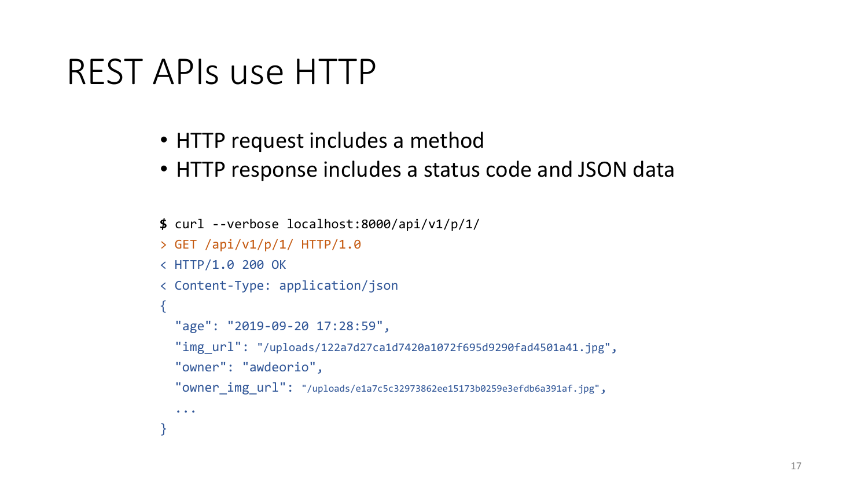#### REST APIs use HTTP

- HTTP request includes a method
- HTTP response includes a status code and JSON data

```
$ curl --verbose localhost:8000/api/v1/p/1/
> GET /api/v1/p/1/ HTTP/1.0
< HTTP/1.0 200 OK
< Content-Type: application/json
{
  "age": "2019-09-20 17:28:59",
  "img_url": "/uploads/122a7d27ca1d7420a1072f695d9290fad4501a41.jpg",
  "owner": "awdeorio",
  "owner img url": "/uploads/e1a7c5c32973862ee15173b0259e3efdb6a391af.jpg",
  ...
}
```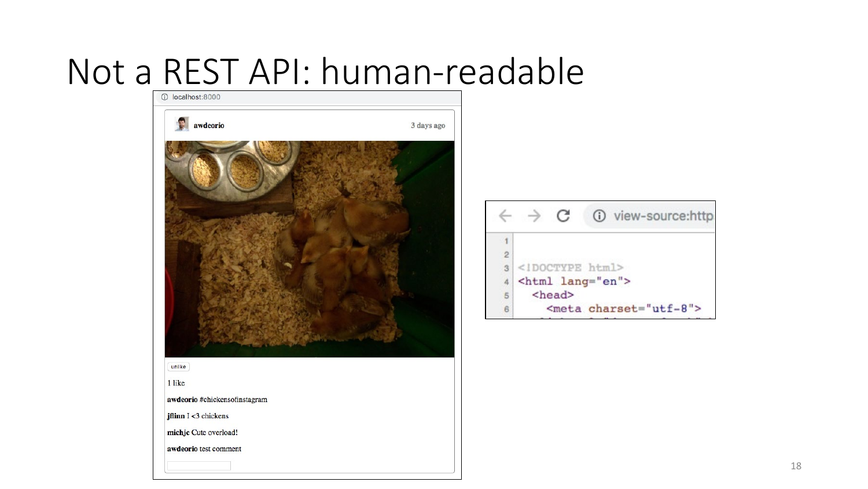# Not a REST API: human-readable



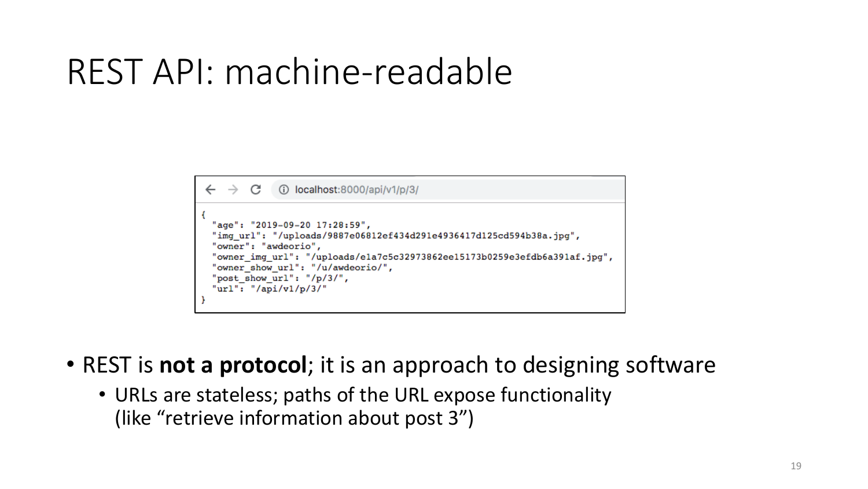#### REST API: machine-readable

```
(i) localhost:8000/api/v1/p/3/
      C
"age": "2019-09-20 17:28:59",
"img url": "/uploads/9887e06812ef434d291e4936417d125cd594b38a.jpg",
"owner": "awdeorio",
"owner img url": "/uploads/ela7c5c32973862ee15173b0259e3efdb6a391af.jpg",
"owner show url": "/u/awdeorio/",
"post show url": "/p/3/",
"url": "/api/v1/p/3/"
```
- REST is **not a protocol**; it is an approach to designing software
	- URLs are stateless; paths of the URL expose functionality (like "retrieve information about post 3")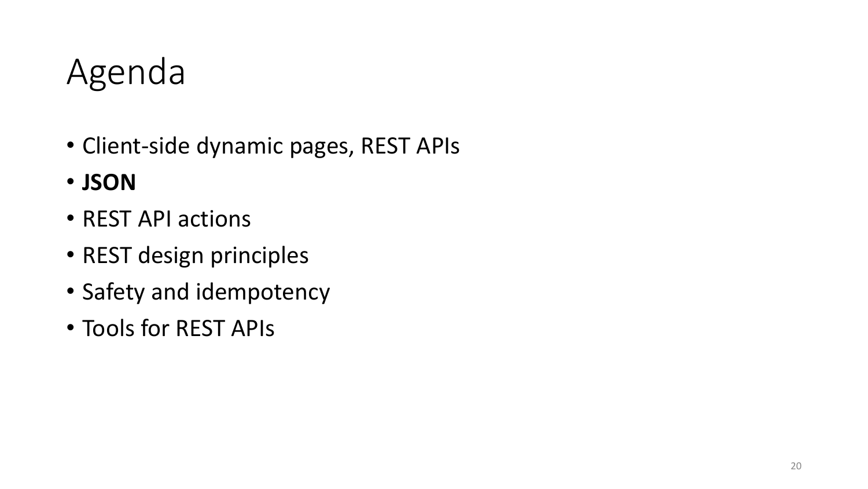## Agenda

- Client-side dynamic pages, REST APIs
- **JSON**
- REST API actions
- REST design principles
- Safety and idempotency
- Tools for REST APIs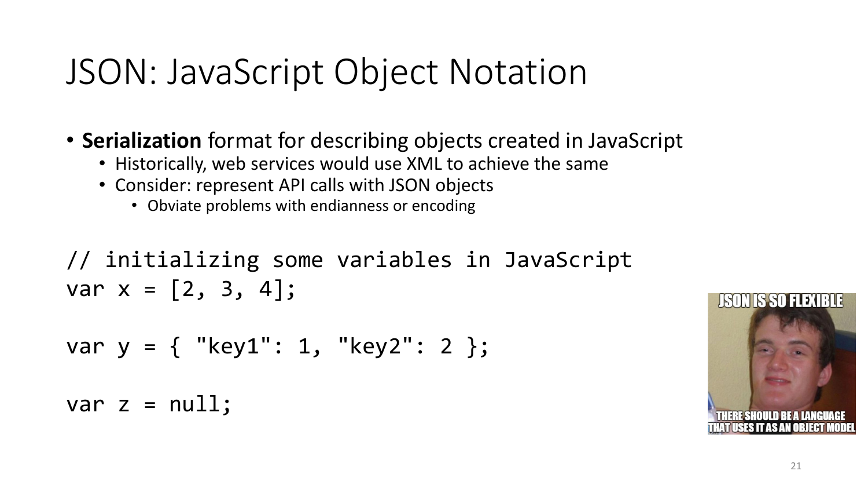# JSON: JavaScript Object Notation

- **Serialization** format for describing objects created in JavaScript
	- Historically, web services would use XML to achieve the same
	- Consider: represent API calls with JSON objects
		- Obviate problems with endianness or encoding

// initializing some variables in JavaScript var  $x = [2, 3, 4]$ ;

var 
$$
y = \{ "key1": 1, "key2": 2 };
$$

var  $z = null;$ 

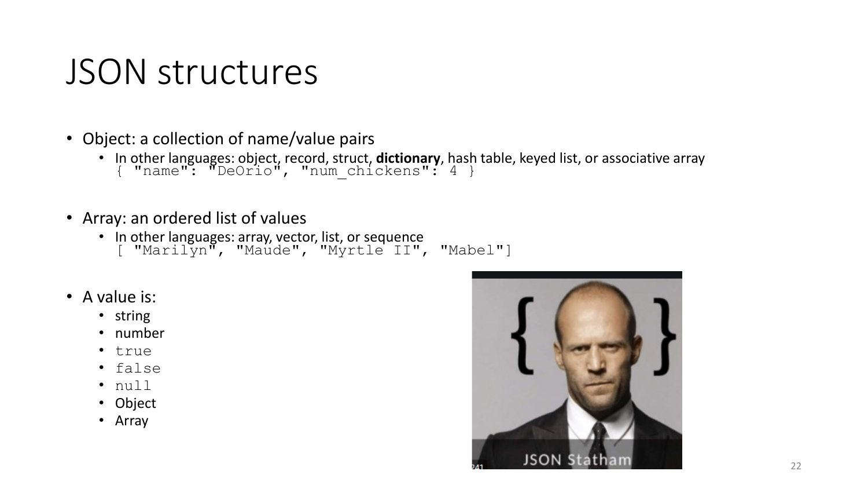#### JSON structures

- Object: a collection of name/value pairs
	- In other languages: object, record, struct, **dictionary**, hash table, keyed list, or associative array { "name": "DeOrio", "num\_chickens": 4 }
- Array: an ordered list of values
	- In other languages: array, vector, list, or sequence [ "Marilyn", "Maude", "Myrtle II", "Mabel"]
- A value is:
	- string
	- number
	- true
	- false
	- null
	- Object
	- Array

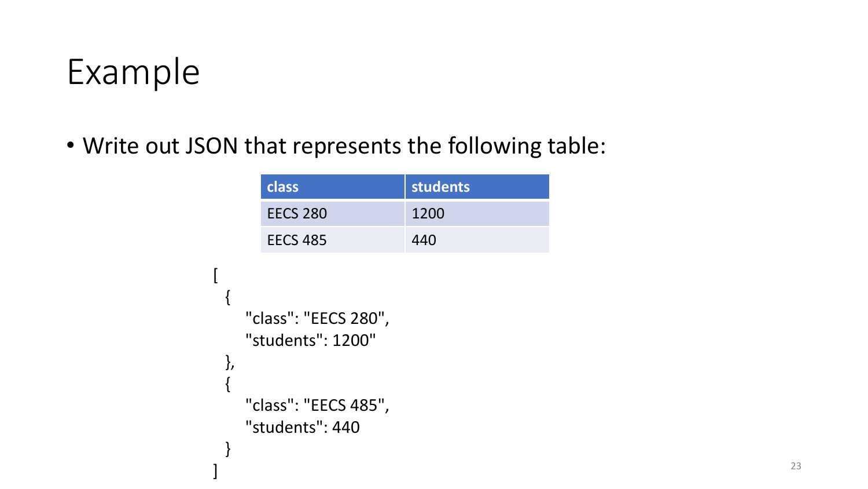## Example

[

]

• Write out JSON that represents the following table:

|              |                      | class                | <b>students</b> |  |  |
|--------------|----------------------|----------------------|-----------------|--|--|
|              |                      | <b>EECS 280</b>      | 1200            |  |  |
|              |                      | <b>EECS 485</b>      | 440             |  |  |
|              |                      |                      |                 |  |  |
| {            |                      |                      |                 |  |  |
|              | "class": "EECS 280", |                      |                 |  |  |
|              | "students": 1200"    |                      |                 |  |  |
| },<br>$\{$   |                      |                      |                 |  |  |
|              |                      | "class": "EECS 485", |                 |  |  |
|              |                      | "students": 440      |                 |  |  |
| <sup>}</sup> |                      |                      |                 |  |  |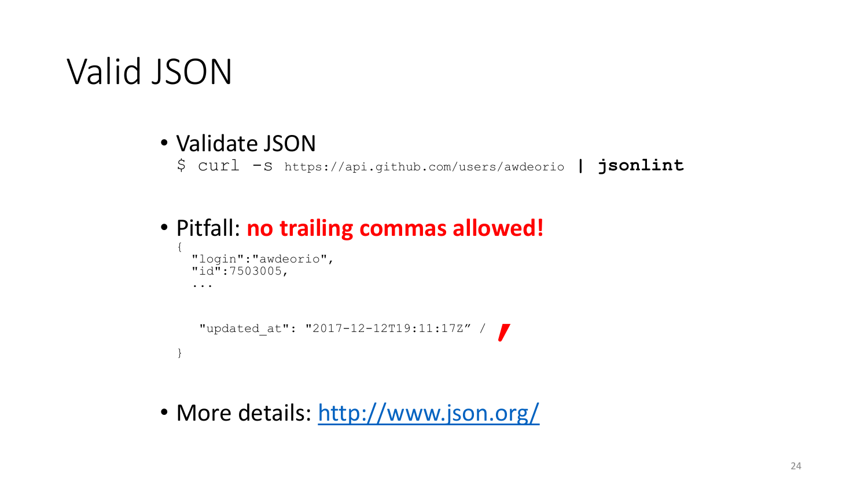#### Valid JSON

• Validate JSON

\$ curl -s https://api.github.com/users/awdeorio **| jsonlint**

#### • Pitfall: **no trailing commas allowed!**

```
{
 "login":"awdeorio",
 "id":7503005,
  ...
  "updated_at": "2017-12-12T19:11:17Z" /,
}
```
• More details:<http://www.json.org/>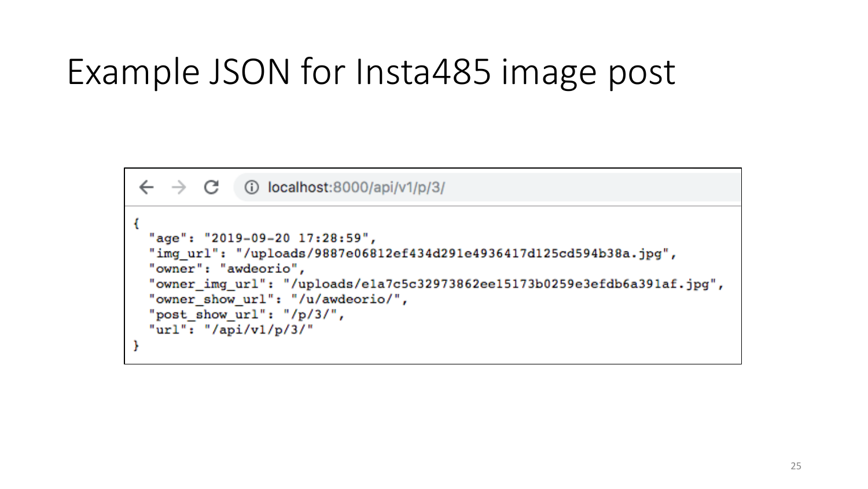# Example JSON for Insta485 image post

```
1/0 localhost:8000/api/v1/p/3
       \mathbf{C}"age": "2019-09-20 17:28:59",
"img url": "/uploads/9887e06812ef434d291e4936417d125cd594b38a.jpg",
"owner": "awdeorio",
"owner img url": "/uploads/ela7c5c32973862ee15173b0259e3efdb6a391af.jpg",
"owner show url": "/u/awdeorio/",
"post_show_url": "/p/3/",
"url": "/api/v1/p/3/"
```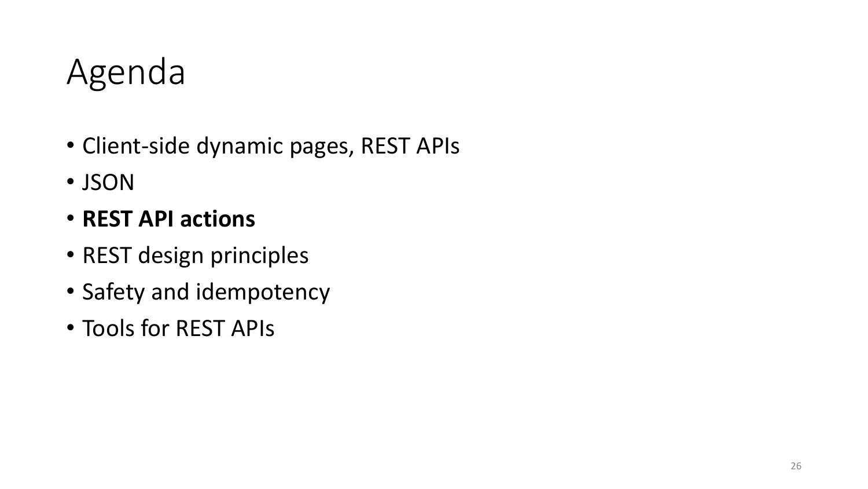## Agenda

- Client-side dynamic pages, REST APIs
- JSON
- **REST API actions**
- REST design principles
- Safety and idempotency
- Tools for REST APIs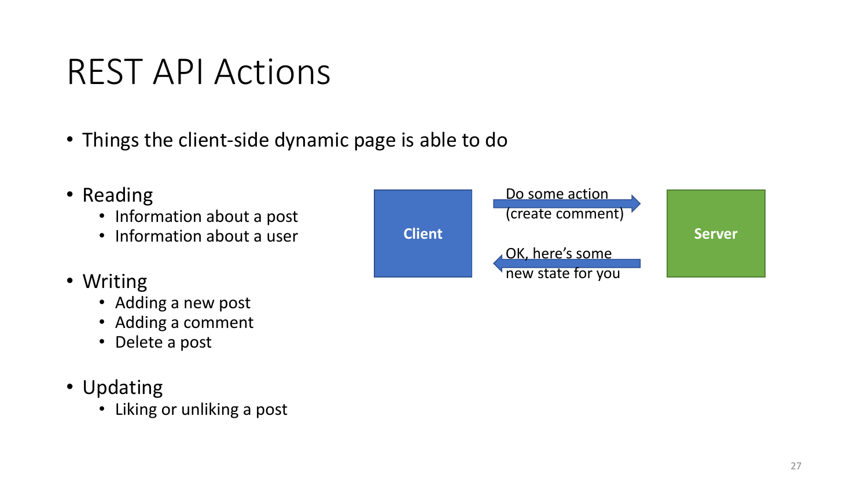#### REST API Actions

- Things the client-side dynamic page is able to do
- Reading
	- Information about a post
	- Information about a user
- Writing
	- Adding a new post
	- Adding a comment
	- Delete a post
- Updating
	- Liking or unliking a post

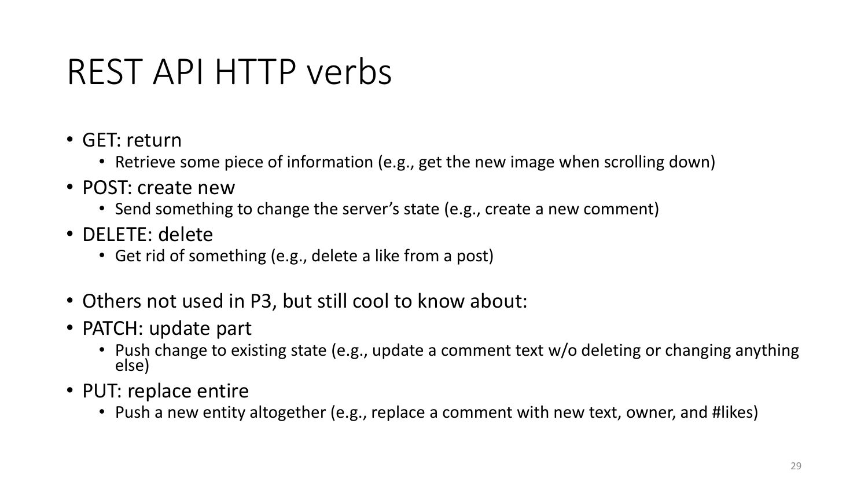#### REST API HTTP verbs

- GET: return
	- Retrieve some piece of information (e.g., get the new image when scrolling down)
- POST: create new
	- Send something to change the server's state (e.g., create a new comment)
- DELETE: delete
	- Get rid of something (e.g., delete a like from a post)
- Others not used in P3, but still cool to know about:
- PATCH: update part
	- Push change to existing state (e.g., update a comment text w/o deleting or changing anything else)
- PUT: replace entire
	- Push a new entity altogether (e.g., replace a comment with new text, owner, and #likes)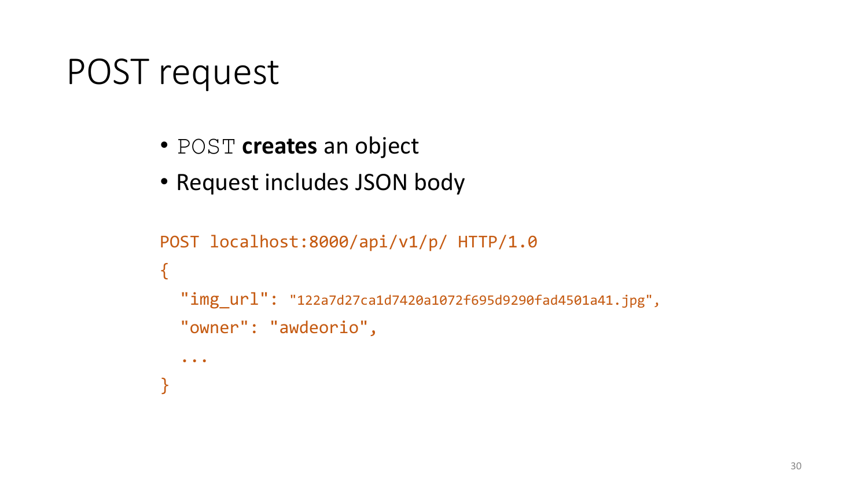### POST request

- POST **creates** an object
- Request includes JSON body

```
POST localhost:8000/api/v1/p/ HTTP/1.0
{
  "img_url": "122a7d27ca1d7420a1072f695d9290fad4501a41.jpg",
  "owner": "awdeorio",
  ...
}
```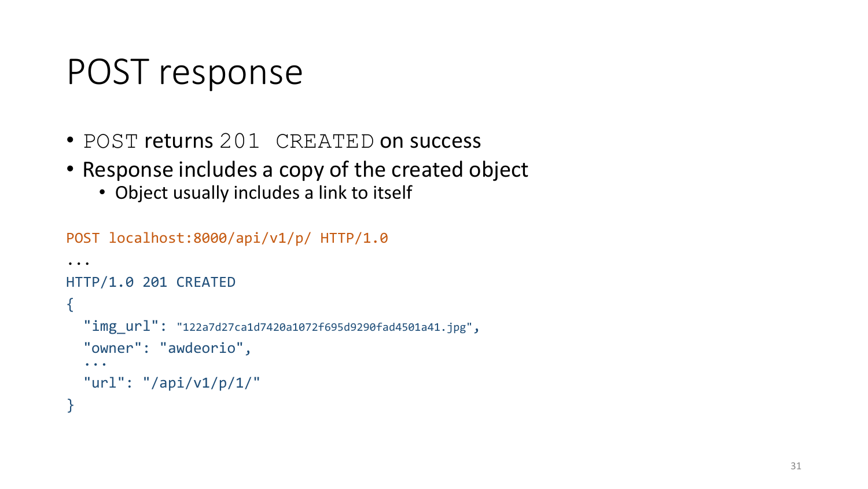### POST response

- POST returns 201 CREATED on success
- Response includes a copy of the created object
	- Object usually includes a link to itself

```
POST localhost:8000/api/v1/p/ HTTP/1.0
...
HTTP/1.0 201 CREATED
{
  "img_url": "122a7d27ca1d7420a1072f695d9290fad4501a41.jpg",
  "owner": "awdeorio", ...
  "url": "/api/v1/p/1/"
}
```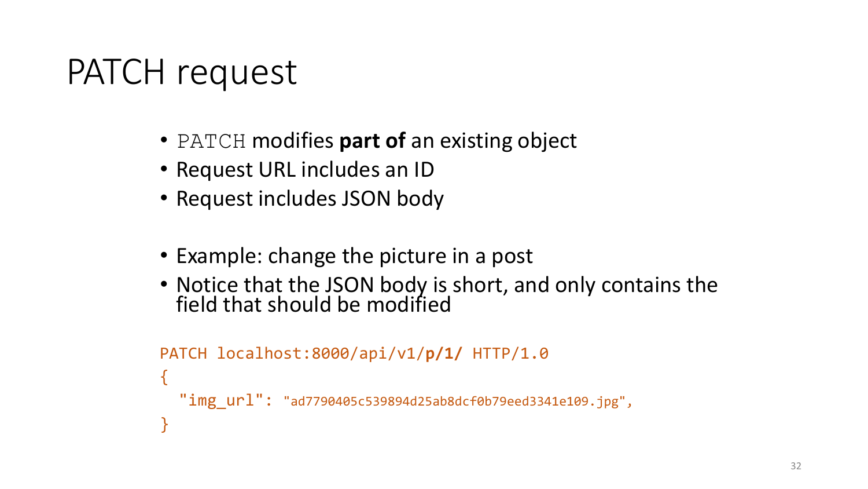#### PATCH request

- PATCH modifies **part of** an existing object
- Request URL includes an ID
- Request includes JSON body
- Example: change the picture in a post
- Notice that the JSON body is short, and only contains the field that should be modified

```
PATCH localhost:8000/api/v1/p/1/ HTTP/1.0
\{"img_url": "ad7790405c539894d25ab8dcf0b79eed3341e109.jpg",
}
```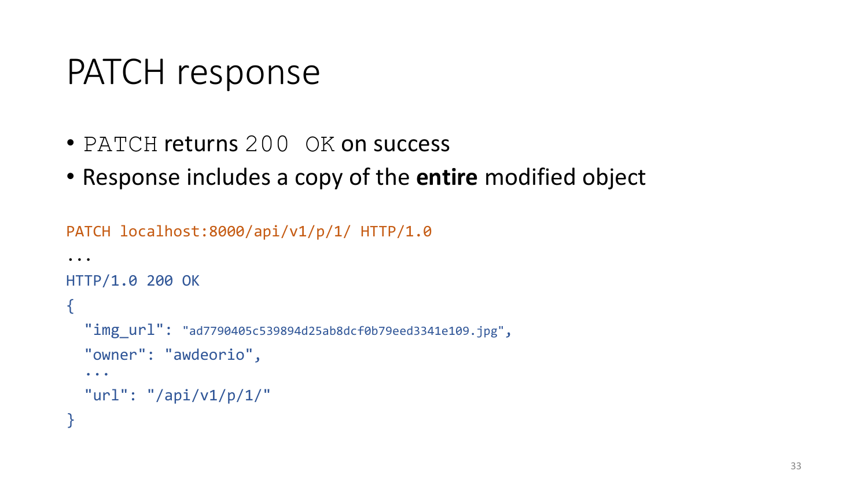#### PATCH response

- PATCH returns 200 OK on success
- Response includes a copy of the **entire** modified object

```
PATCH localhost:8000/api/v1/p/1/ HTTP/1.0
...
HTTP/1.0 200 OK
{
  "img_url": "ad7790405c539894d25ab8dcf0b79eed3341e109.jpg",
  "owner": "awdeorio", ...
  "url": "/api/v1/p/1/"
}
```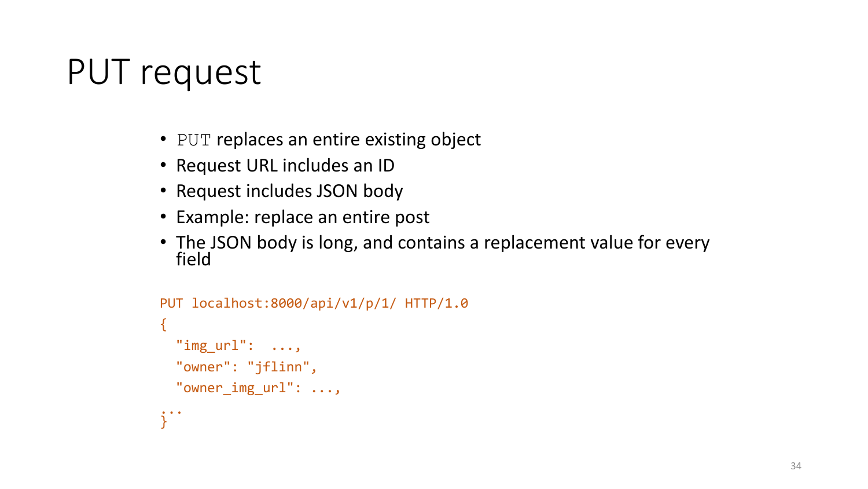# PUT request

- PUT replaces an entire existing object
- Request URL includes an ID
- Request includes JSON body
- Example: replace an entire post
- The JSON body is long, and contains a replacement value for every field

```
PUT localhost:8000/api/v1/p/1/ HTTP/1.0
{
  "img\_url": \ldots,"owner": "jflinn",
  "owner_img_url": ...,
...
}
```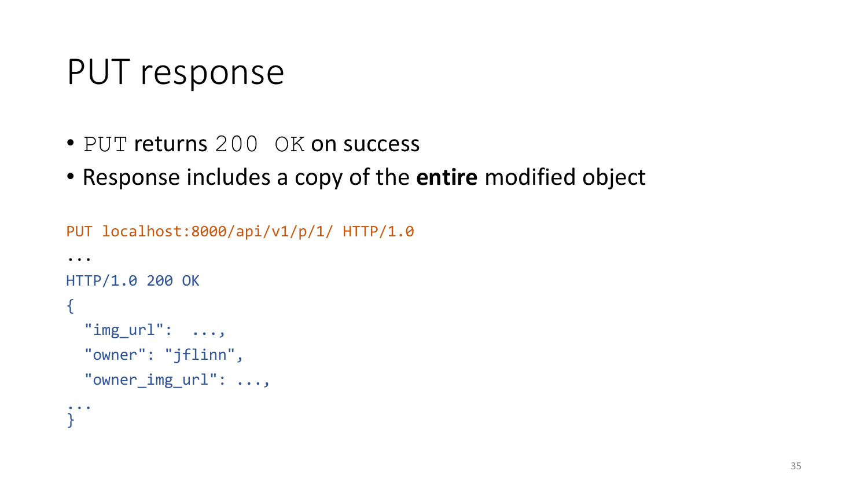## PUT response

- PUT returns 200 OK on success
- Response includes a copy of the **entire** modified object

```
PUT localhost:8000/api/v1/p/1/ HTTP/1.0
...
HTTP/1.0 200 OK
{
  "img_url": ...,
   "owner": "jflinn",
   "owner_img_url": ...,
\begin{array}{ccc} \bullet & \bullet & \bullet \end{array}}
```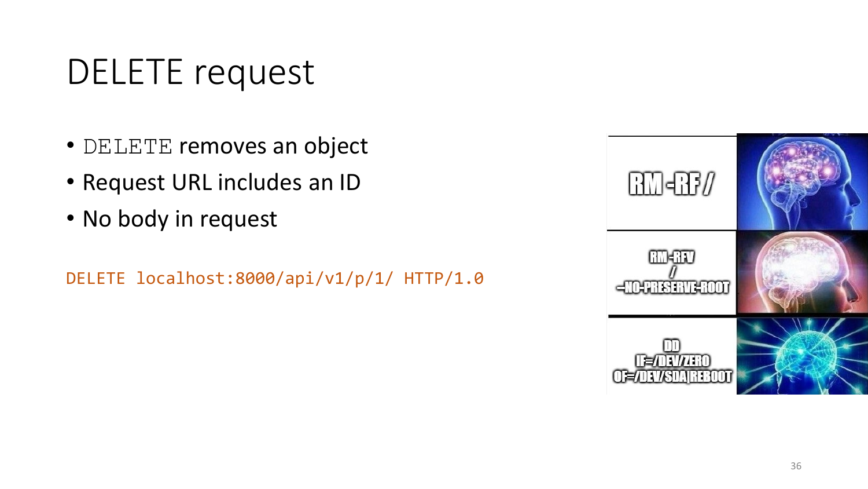#### DELETE request

- DELETE removes an object
- Request URL includes an ID
- No body in request

DELETE localhost:8000/api/v1/p/1/ HTTP/1.0

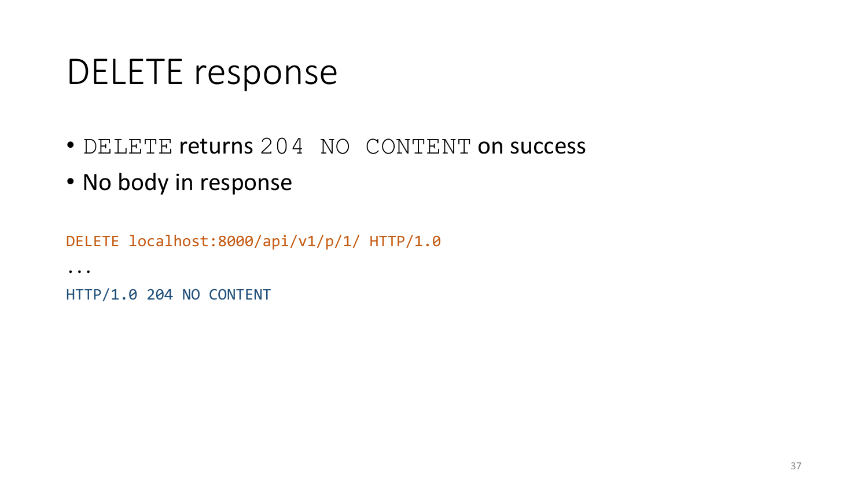#### DELETE response

- DELETE returns 204 NO CONTENT on success
- No body in response

DELETE localhost:8000/api/v1/p/1/ HTTP/1.0

...

HTTP/1.0 204 NO CONTENT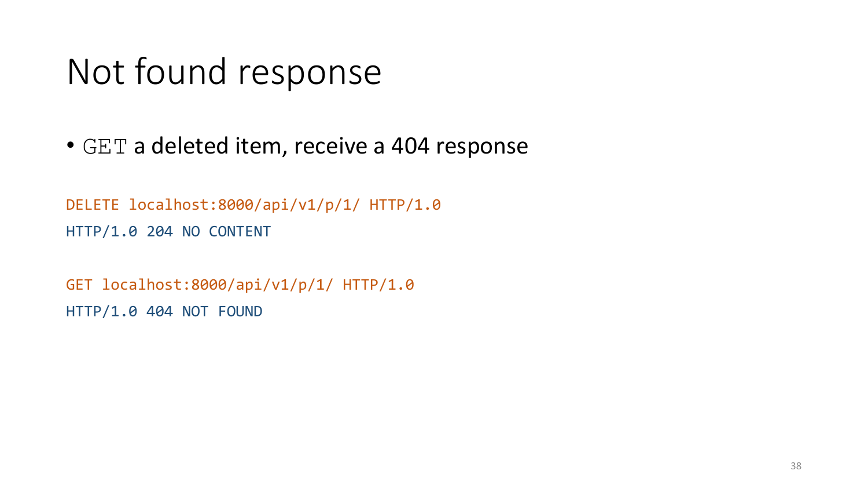#### Not found response

• GET a deleted item, receive a 404 response

DELETE localhost:8000/api/v1/p/1/ HTTP/1.0 HTTP/1.0 204 NO CONTENT

GET localhost:8000/api/v1/p/1/ HTTP/1.0 HTTP/1.0 404 NOT FOUND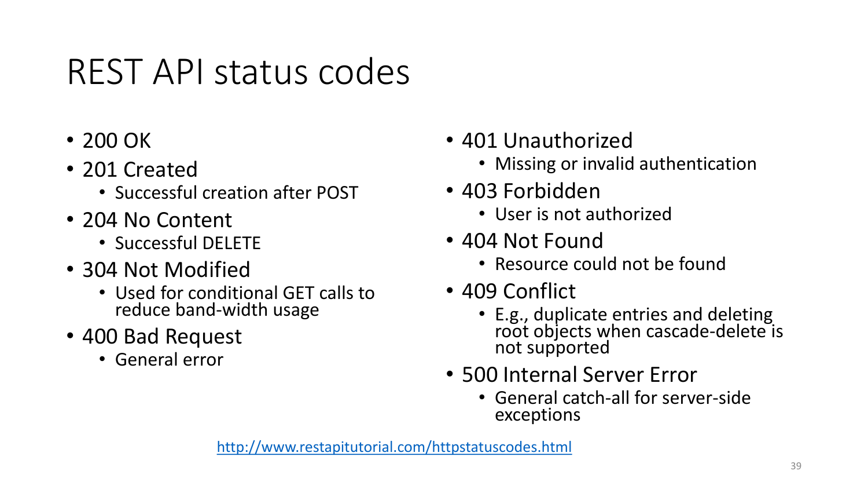# REST API status codes

- 200 OK
- 201 Created
	- Successful creation after POST
- 204 No Content
	- Successful DELETE
- 304 Not Modified
	- Used for conditional GET calls to reduce band-width usage
- 400 Bad Request
	- General error
- 401 Unauthorized
	- Missing or invalid authentication
- 403 Forbidden
	- User is not authorized
- 404 Not Found
	- Resource could not be found
- 409 Conflict
	- E.g., duplicate entries and deleting root objects when cascade-delete is not supported
- 500 Internal Server Error
	- General catch-all for server-side exceptions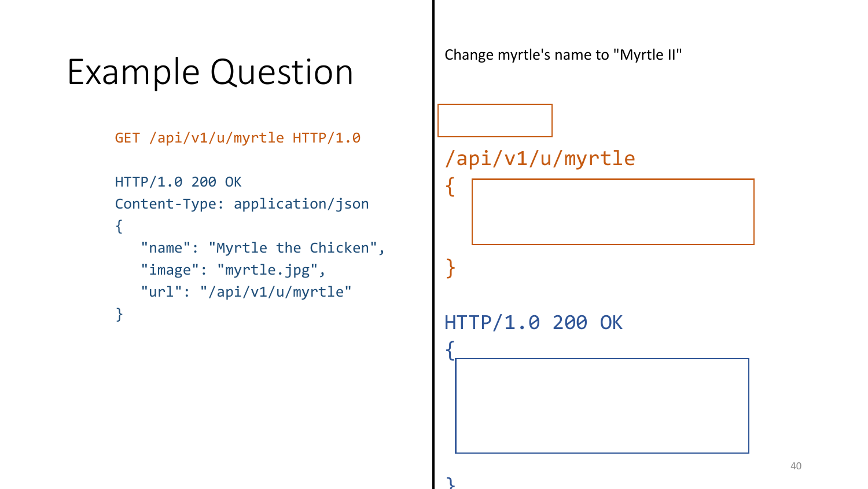# Example Question

GET /api/v1/u/myrtle HTTP/1.0

```
HTTP/1.0 200 OK
Content-Type: application/json
{
   "name": "Myrtle the Chicken",
   "image": "myrtle.jpg",
   "url": "/api/v1/u/myrtle"
}
```
Change myrtle's name to "Myrtle II"

#### /api/v1/u/myrtle

{

}

{

 $\mathbf{I}$ 

HTTP/1.0 200 OK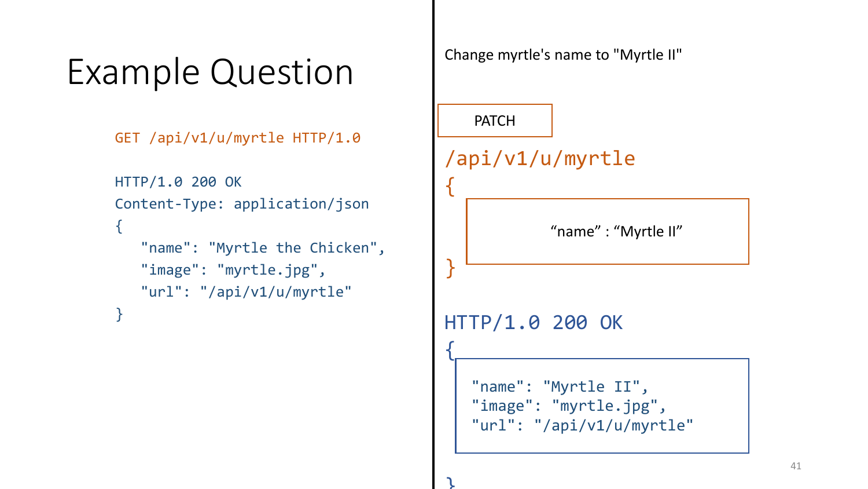# Example Question

GET /api/v1/u/myrtle HTTP/1.0

```
HTTP/1.0 200 OK
Content-Type: application/json
{
   "name": "Myrtle the Chicken",
   "image": "myrtle.jpg",
   "url": "/api/v1/u/myrtle"
}
```
Change myrtle's name to "Myrtle II"

PATCH

{

}

{

 $\mathbf{I}$ 

/api/v1/u/myrtle

"name" : "Myrtle II"

HTTP/1.0 200 OK

"name": "Myrtle II", "image": "myrtle.jpg", "url": "/api/v1/u/myrtle"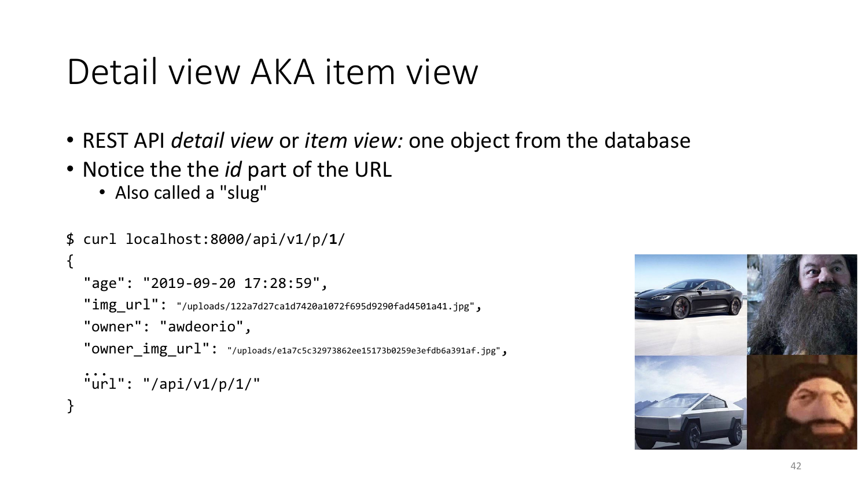## Detail view AKA item view

- REST API *detail view* or *item view:* one object from the database
- Notice the the *id* part of the URL
	- Also called a "slug"

{

}

```
$ curl localhost:8000/api/v1/p/1/
```

```
"age": "2019-09-20 17:28:59",
"img_url": "/uploads/122a7d27ca1d7420a1072f695d9290fad4501a41.jpg",
"owner": "awdeorio",
"owner_img_url": "/uploads/e1a7c5c32973862ee15173b0259e3efdb6a391af.jpg",
...
"url": "/api/v1/p/1/"
```
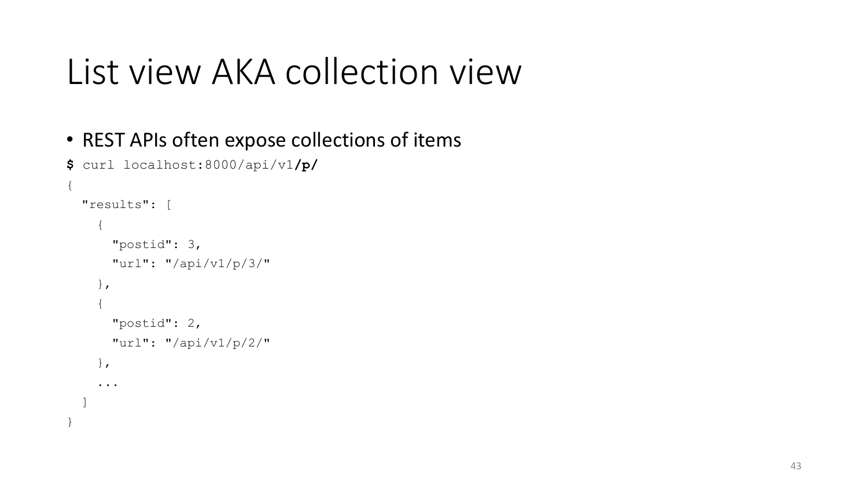#### List view AKA collection view

• REST APIs often expose collections of items

```
$ curl localhost:8000/api/v1/p/
```

```
{
 "results": [
    {
      "postid": 3,
      "url": "/api/v1/p/3/"
    },
    {
      "postid": 2,
      "url": "/api/v1/p/2/"
    },
    ...
  ]
}
```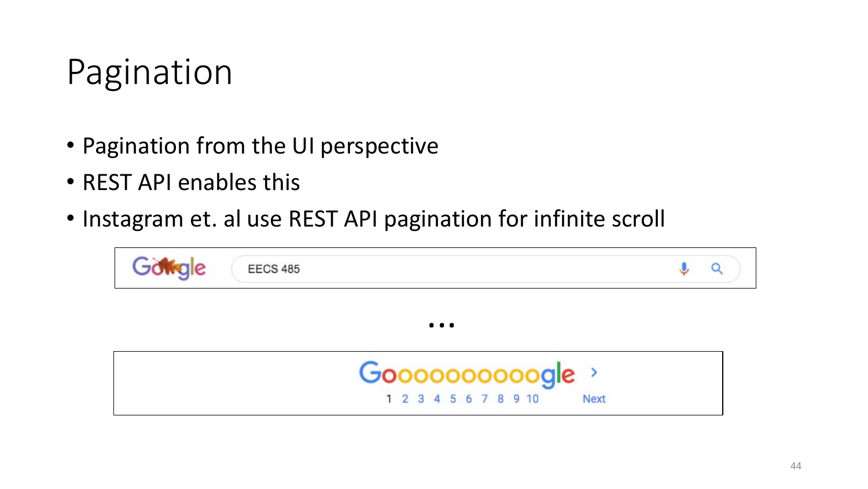## Pagination

- Pagination from the UI perspective
- REST API enables this
- Instagram et. al use REST API pagination for infinite scroll

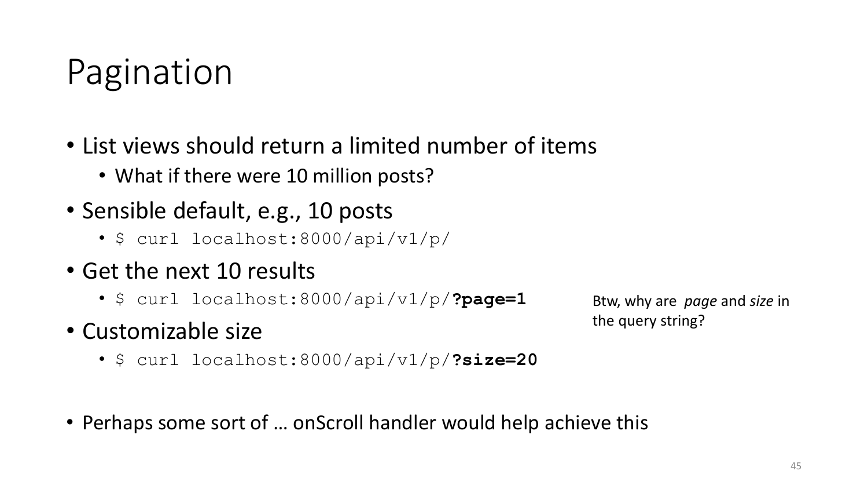# Pagination

- List views should return a limited number of items
	- What if there were 10 million posts?
- Sensible default, e.g., 10 posts
	- \$ curl localhost:8000/api/v1/p/
- Get the next 10 results
	- \$ curl localhost:8000/api/v1/p/**?page=1**
- Customizable size
	- \$ curl localhost:8000/api/v1/p/**?size=20**
- Perhaps some sort of … onScroll handler would help achieve this

Btw, why are *page* and *size* in the query string?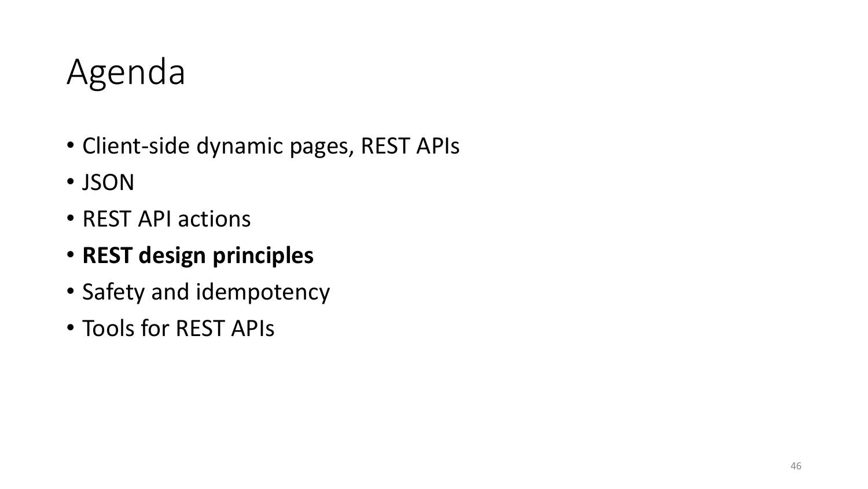## Agenda

- Client-side dynamic pages, REST APIs
- JSON
- REST API actions
- **REST design principles**
- Safety and idempotency
- Tools for REST APIs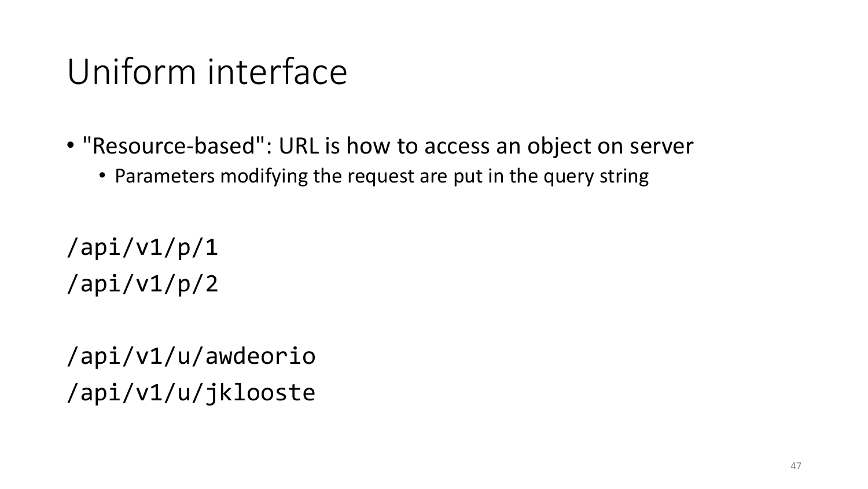#### Uniform interface

- "Resource-based": URL is how to access an object on server
	- Parameters modifying the request are put in the query string

/api/v1/p/1 /api/v1/p/2

/api/v1/u/awdeorio /api/v1/u/jklooste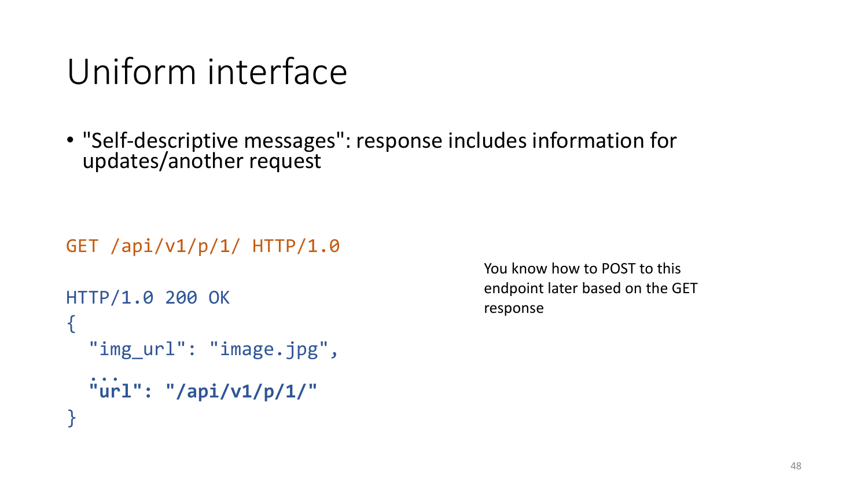#### Uniform interface

• "Self-descriptive messages": response includes information for updates/another request

```
GET /api/v1/p/1/ HTTP/1.0
```

```
HTTP/1.0 200 OK
{
  "img_url": "image.jpg",
  ...
  "url": "/api/v1/p/1/"
}<br>}
```
You know how to POST to this endpoint later based on the GET response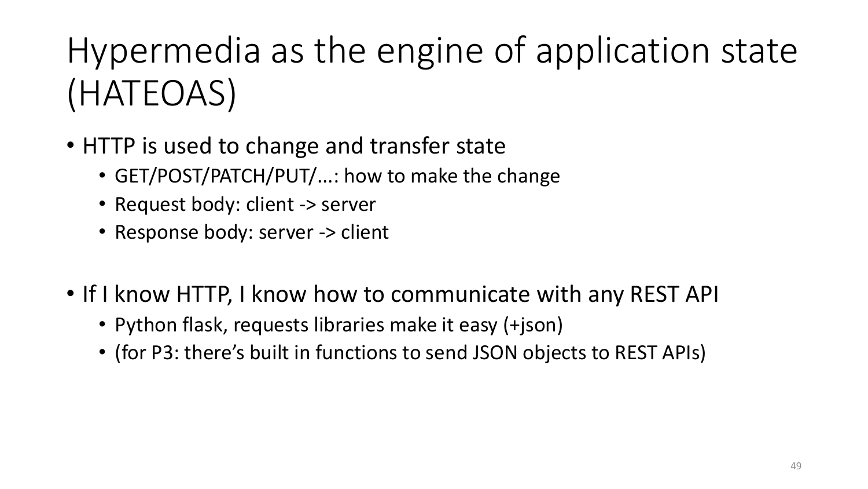# Hypermedia as the engine of application state (HATEOAS)

- HTTP is used to change and transfer state
	- GET/POST/PATCH/PUT/...: how to make the change
	- Request body: client -> server
	- Response body: server -> client
- If I know HTTP, I know how to communicate with any REST API
	- Python flask, requests libraries make it easy (+json)
	- (for P3: there's built in functions to send JSON objects to REST APIs)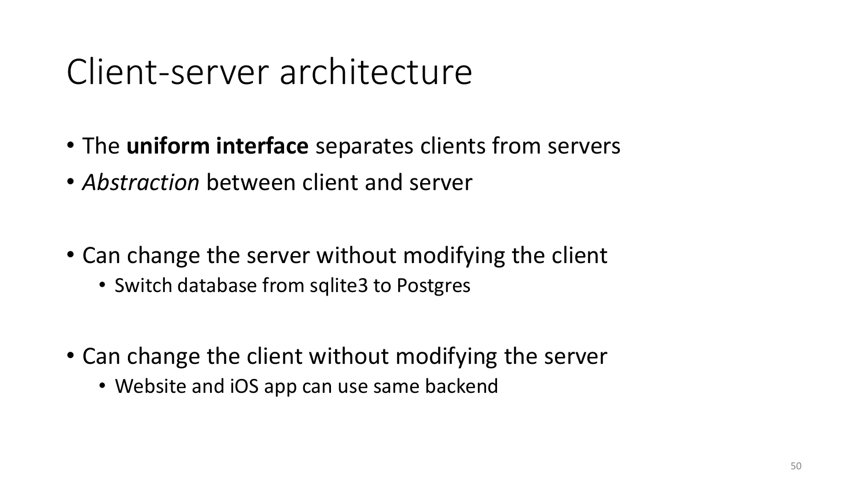#### Client-server architecture

- The **uniform interface** separates clients from servers
- *Abstraction* between client and server
- Can change the server without modifying the client
	- Switch database from sqlite3 to Postgres
- Can change the client without modifying the server
	- Website and iOS app can use same backend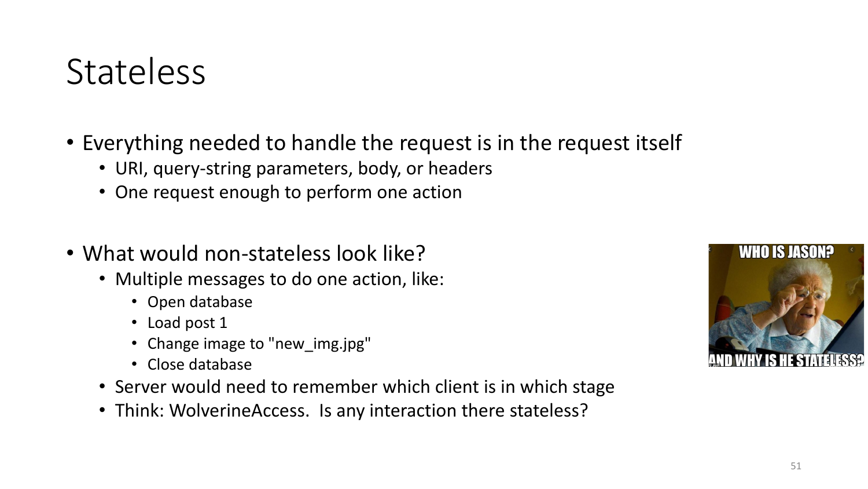#### **Stateless**

- Everything needed to handle the request is in the request itself
	- URI, query-string parameters, body, or headers
	- One request enough to perform one action
- What would non-stateless look like?
	- Multiple messages to do one action, like:
		- Open database
		- Load post 1
		- Change image to "new\_img.jpg"
		- Close database
	- Server would need to remember which client is in which stage
	- Think: WolverineAccess. Is any interaction there stateless?

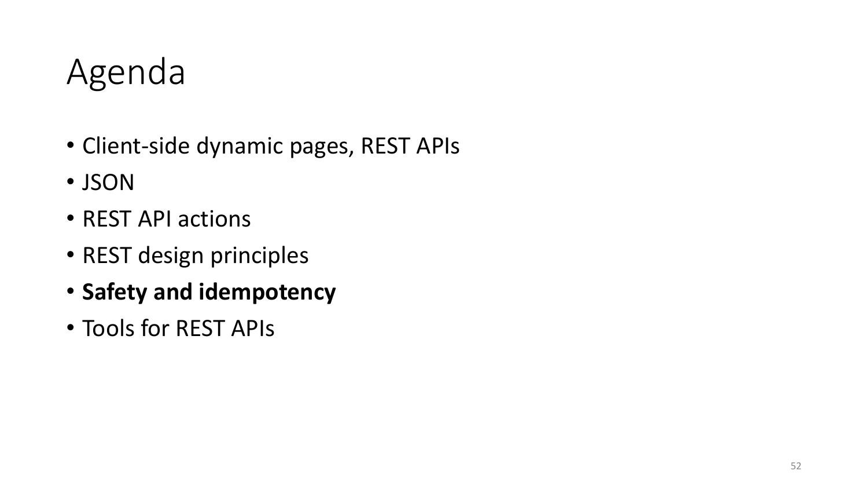## Agenda

- Client-side dynamic pages, REST APIs
- JSON
- REST API actions
- REST design principles
- **Safety and idempotency**
- Tools for REST APIs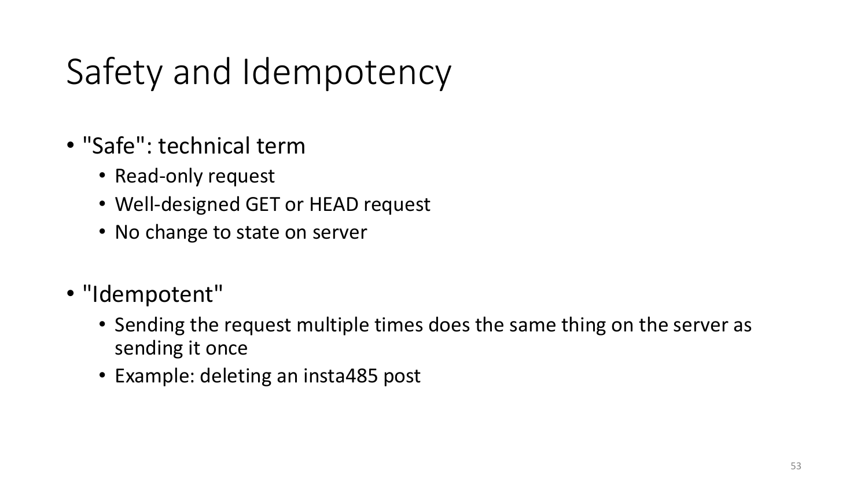# Safety and Idempotency

- "Safe": technical term
	- Read-only request
	- Well-designed GET or HEAD request
	- No change to state on server
- "Idempotent"
	- Sending the request multiple times does the same thing on the server as sending it once
	- Example: deleting an insta485 post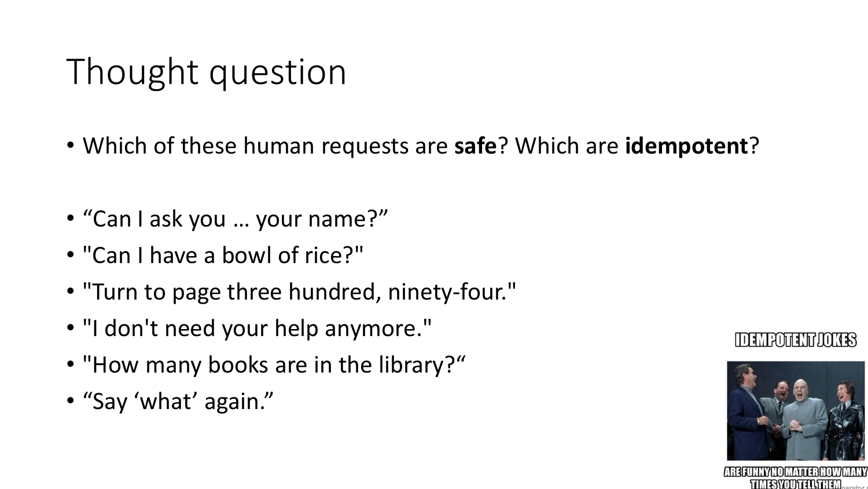# Thought question

- Which of these human requests are **safe**? Which are **idempotent**?
- "Can I ask you … your name?"
- "Can I have a bowl of rice?"
- "Turn to page three hundred, ninety-four."
- "I don't need your help anymore."
- "How many books are in the library?"
- "Say 'what' again."





**TIMESYOUTELL\THEM**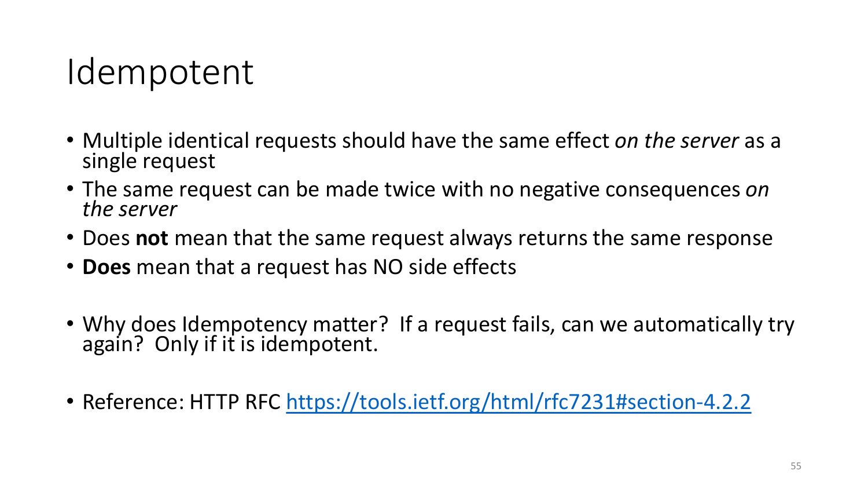### Idempotent

- Multiple identical requests should have the same effect *on the server* as a single request
- The same request can be made twice with no negative consequences *on the server*
- Does **not** mean that the same request always returns the same response
- **Does** mean that a request has NO side effects
- Why does Idempotency matter? If a request fails, can we automatically try again? Only if it is idempotent.
- Reference: HTTP RFC<https://tools.ietf.org/html/rfc7231#section-4.2.2>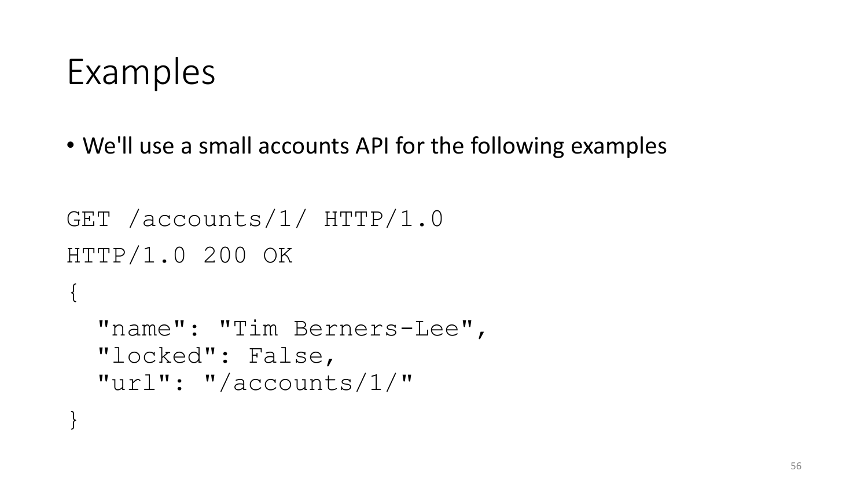#### Examples

}

• We'll use a small accounts API for the following examples

```
GET /accounts/1/ HTTP/1.0
HTTP/1.0 200 OK
\{"name": "Tim Berners-Lee",
  "locked": False,
  "url": "/accounts/1/"
```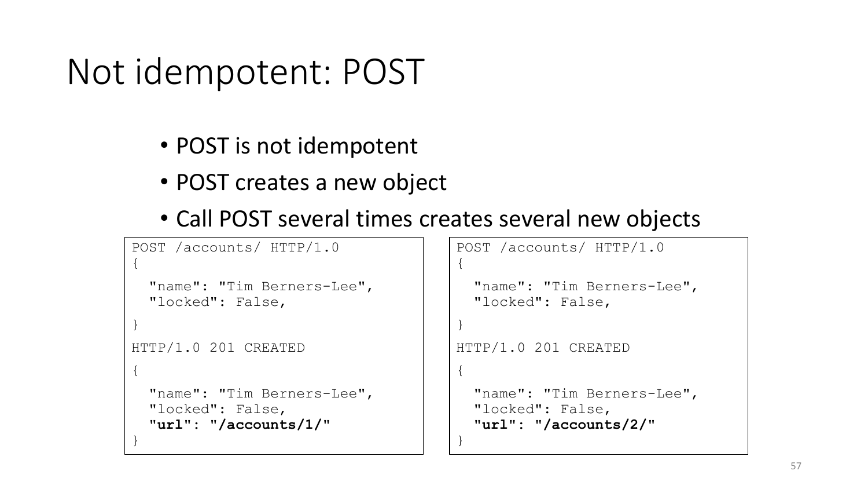#### Not idempotent: POST

- POST is not idempotent
- POST creates a new object
- Call POST several times creates several new objects

```
POST /accounts/ HTTP/1.0
{
  "name": "Tim Berners-Lee",
  "locked": False,
}
HTTP/1.0 201 CREATED
{
  "name": "Tim Berners-Lee",
  "locked": False,
  "url": "/accounts/1/"
}
```

```
POST /accounts/ HTTP/1.0
{
```

```
"name": "Tim Berners-Lee",
"locked": False,
```
}

{

}

```
HTTP/1.0 201 CREATED
```

```
"name": "Tim Berners-Lee",
"locked": False,
"url": "/accounts/2/"
```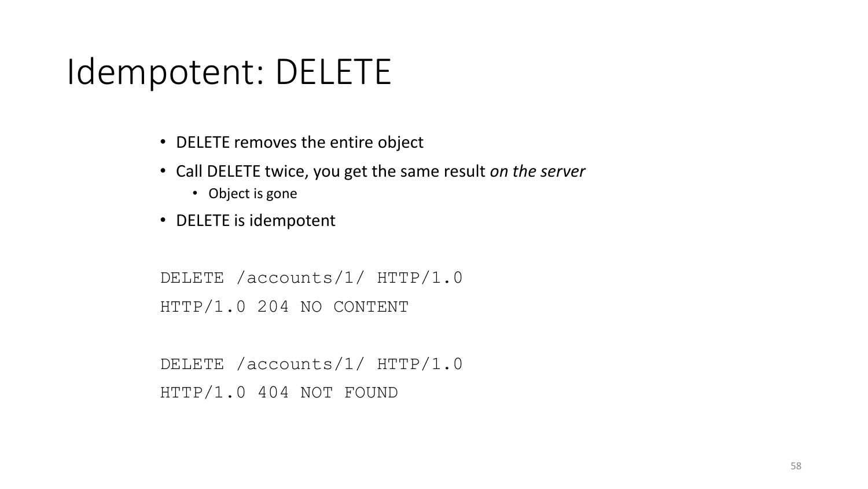# Idempotent: DELETE

- DELETE removes the entire object
- Call DELETE twice, you get the same result *on the server*
	- Object is gone
- DELETE is idempotent

```
DELETE /accounts/1/ HTTP/1.0
HTTP/1.0 204 NO CONTENT
```
DELETE /accounts/1/ HTTP/1.0 HTTP/1.0 404 NOT FOUND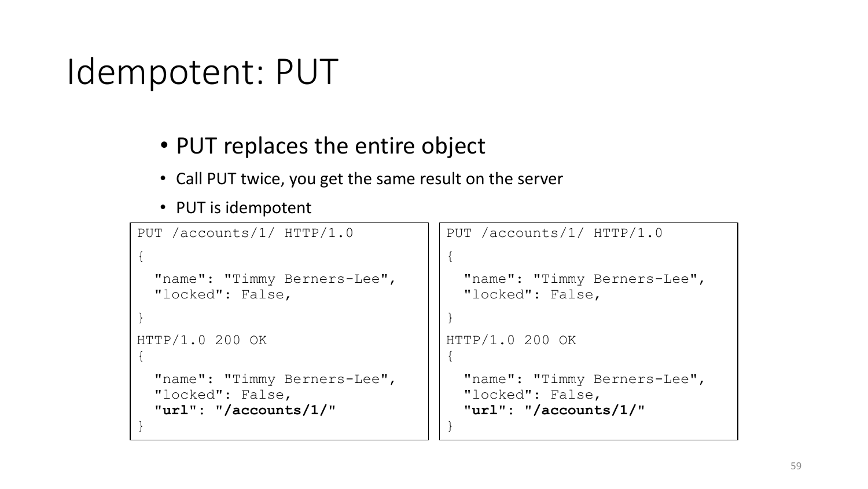# Idempotent: PUT

#### • PUT replaces the entire object

- Call PUT twice, you get the same result on the server
- PUT is idempotent

```
PUT /accounts/1/ HTTP/1.0
{
  "name": "Timmy Berners-Lee",
  "locked": False,
}
HTTP/1.0 200 OK
{
 "name": "Timmy Berners-Lee",
  "locked": False,
  "url": "/accounts/1/"
}
                                     PUT /accounts/1/ HTTP/1.0
                                     {
                                       "name": "Timmy Berners-Lee",
                                       "locked": False,
                                     }
                                     HTTP/1.0 200 OK
                                     {
                                       "name": "Timmy Berners-Lee",
                                       "locked": False,
                                       "url": "/accounts/1/"
                                     }
```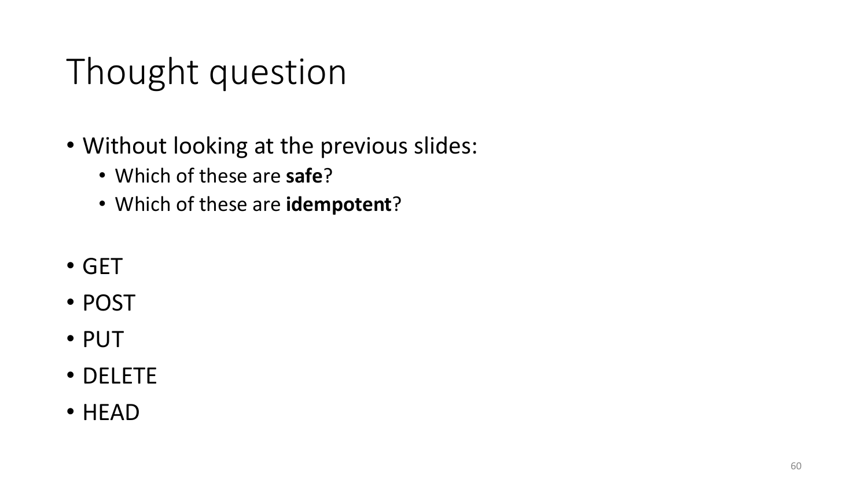# Thought question

- Without looking at the previous slides:
	- Which of these are **safe**?
	- Which of these are **idempotent**?
- GET
- POST
- PUT
- DELETE
- HEAD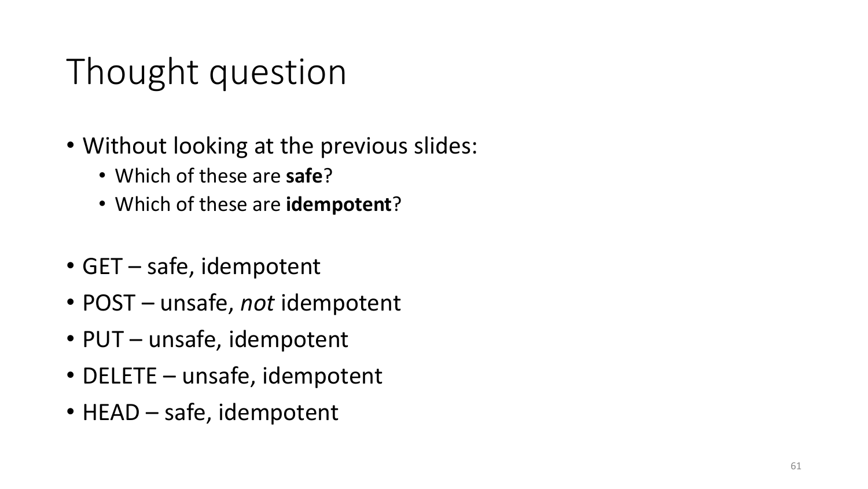# Thought question

- Without looking at the previous slides:
	- Which of these are **safe**?
	- Which of these are **idempotent**?
- GET safe, idempotent
- POST unsafe, *not* idempotent
- PUT unsafe, idempotent
- DELETE unsafe, idempotent
- HEAD safe, idempotent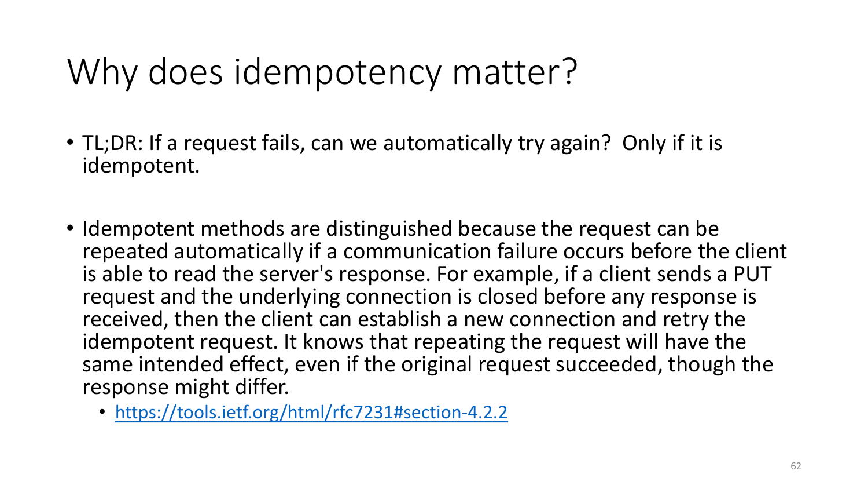# Why does idempotency matter?

- TL;DR: If a request fails, can we automatically try again? Only if it is idempotent.
- Idempotent methods are distinguished because the request can be repeated automatically if a communication failure occurs before the client is able to read the server's response. For example, if a client sends a PUT request and the underlying connection is closed before any response is received, then the client can establish a new connection and retry the idempotent request. It knows that repeating the request will have the same intended effect, even if the original request succeeded, though the response might differ.
	- <https://tools.ietf.org/html/rfc7231#section-4.2.2>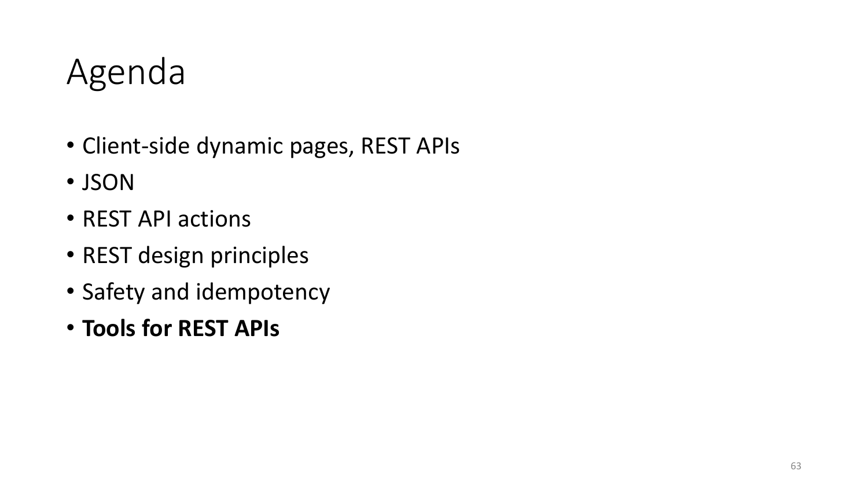## Agenda

- Client-side dynamic pages, REST APIs
- JSON
- REST API actions
- REST design principles
- Safety and idempotency
- **Tools for REST APIs**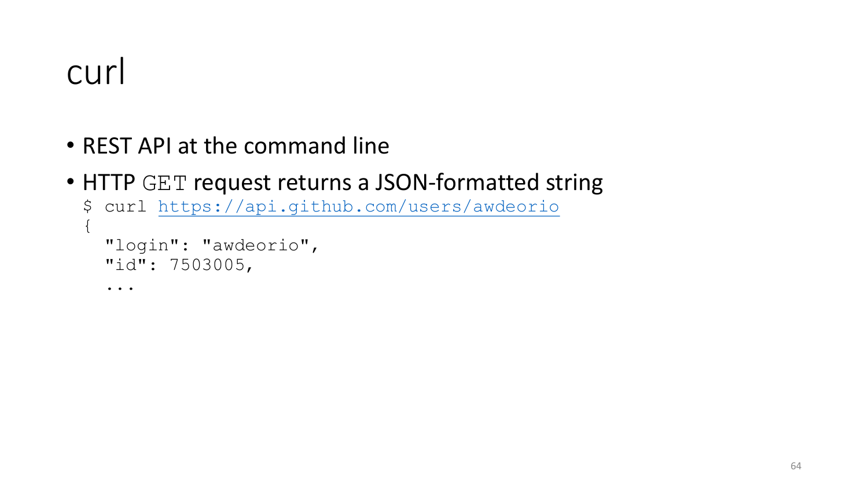#### curl

- REST API at the command line
- HTTP GET request returns a JSON-formatted string

```
$ curl https://api.github.com/users/awdeorio
{
  "login": "awdeorio",
  "id": 7503005,
  ...
```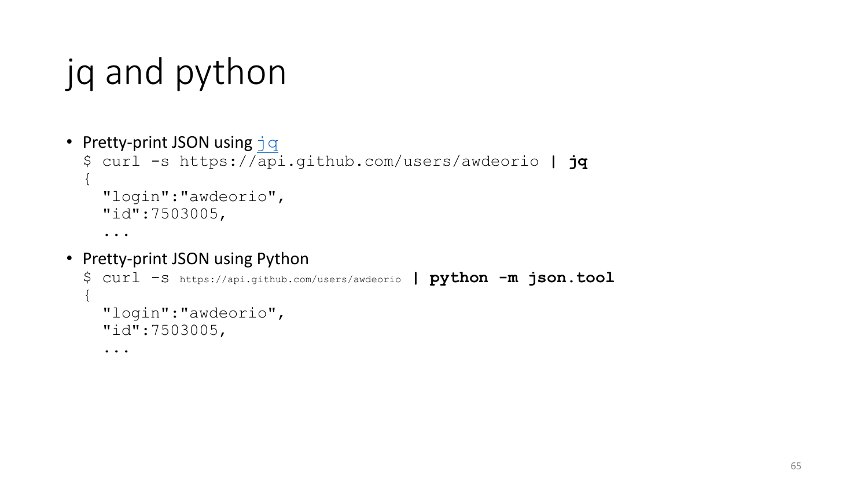# jq and python

```
• Pretty-print JSON using jq$ curl -s https://api.github.com/users/awdeorio | jq
  {
    "login":"awdeorio",
    "id":7503005,
    ...
```
• Pretty-print JSON using Python

```
$ curl -s https://api.github.com/users/awdeorio | python -m json.tool
{
  "login":"awdeorio",
  "id":7503005,
  ...
```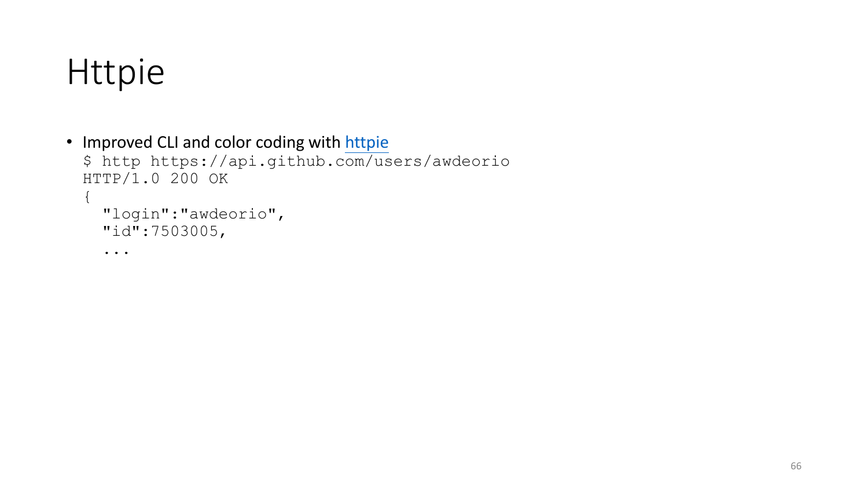#### Httpie

```
httpie
 $ http https://api.github.com/users/awdeorio
 HTTP/1.0 200 OK
 {
   "login":"awdeorio",
   "id":7503005,
   ...
```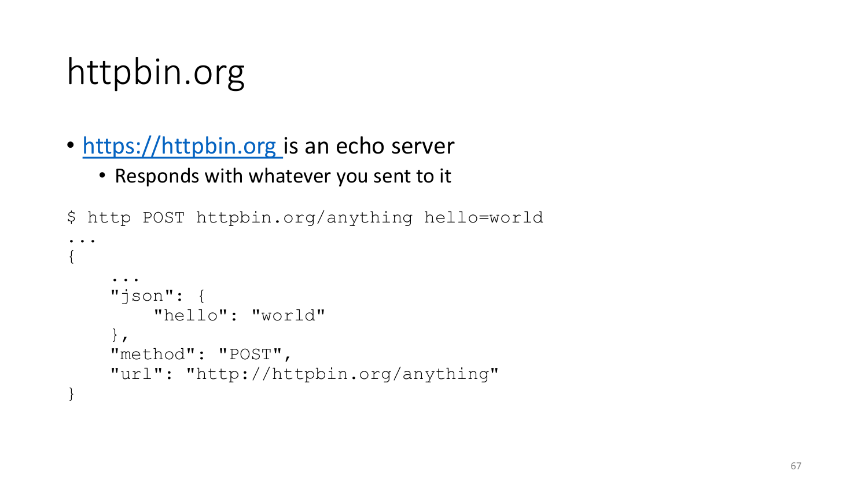# httpbin.org

- [https://httpbin.org](https://httpbin.org/) is an echo server
	- Responds with whatever you sent to it

\$ http POST httpbin.org/anything hello=world

```
...
{
    ... 
    "json": {
        "hello": "world"
    },
    "method": "POST",
    "url": "http://httpbin.org/anything"
}
```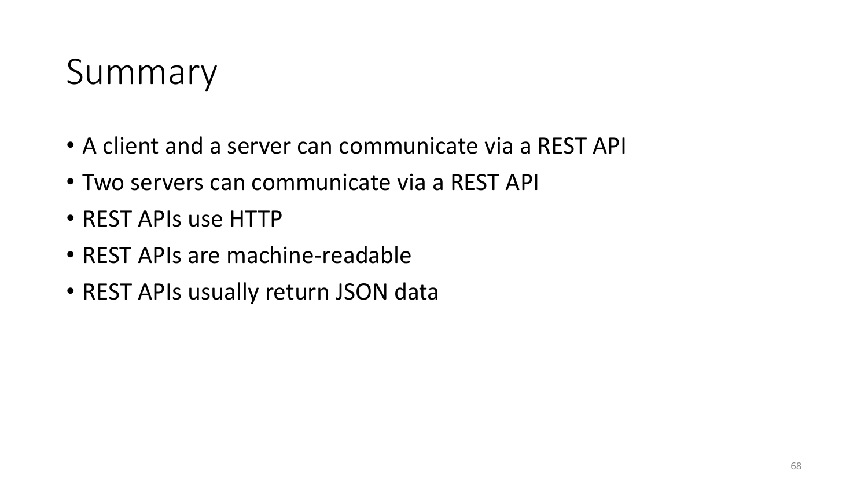## Summary

- A client and a server can communicate via a REST API
- Two servers can communicate via a REST API
- REST APIs use HTTP
- REST APIs are machine-readable
- REST APIs usually return JSON data